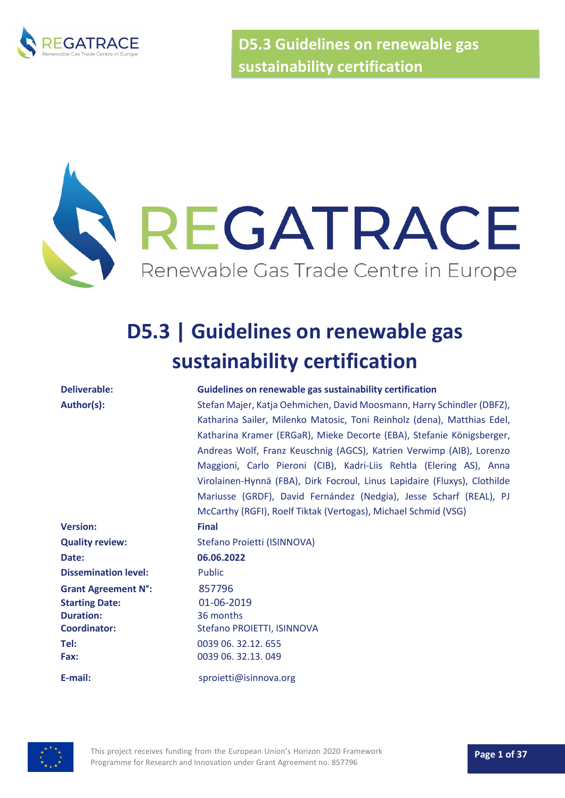

**D5.3 Guidelines on renewable gas sustainability certification**

# REGATRACE Renewable Gas Trade Centre in Europe

## **D5.3 | Guidelines on renewable gas sustainability certification**

#### **Deliverable: Guidelines on renewable gas sustainability certification**

**Author(s):** Stefan Majer, Katja Oehmichen, David Moosmann, Harry Schindler (DBFZ), Katharina Sailer, Milenko Matosic, Toni Reinholz (dena), Matthias Edel, Katharina Kramer (ERGaR), Mieke Decorte (EBA), Stefanie Königsberger, Andreas Wolf, Franz Keuschnig (AGCS), Katrien Verwimp (AIB), Lorenzo Maggioni, Carlo Pieroni (CIB), Kadri-Liis Rehtla (Elering AS), Anna Virolainen-Hynnä (FBA), Dirk Focroul, Linus Lapidaire (Fluxys), Clothilde Mariusse (GRDF), David Fernández (Nedgia), Jesse Scharf (REAL), PJ McCarthy (RGFI), Roelf Tiktak (Vertogas), Michael Schmid (VSG)

**Version: Final Quality review:** Stefano Proietti (ISINNOVA) **Date: 06.06.2022 Dissemination level:** Public **Grant Agreement N°:** 857796 **Starting Date:** 01-06-2019 **Duration:** 36 months **Coordinator:** Stefano PROIETTI, ISINNOVA **Tel:** 0039 06. 32.12. 655 **Fax:** 0039 06. 32.13. 049 **E-mail:** sproietti@isinnova.org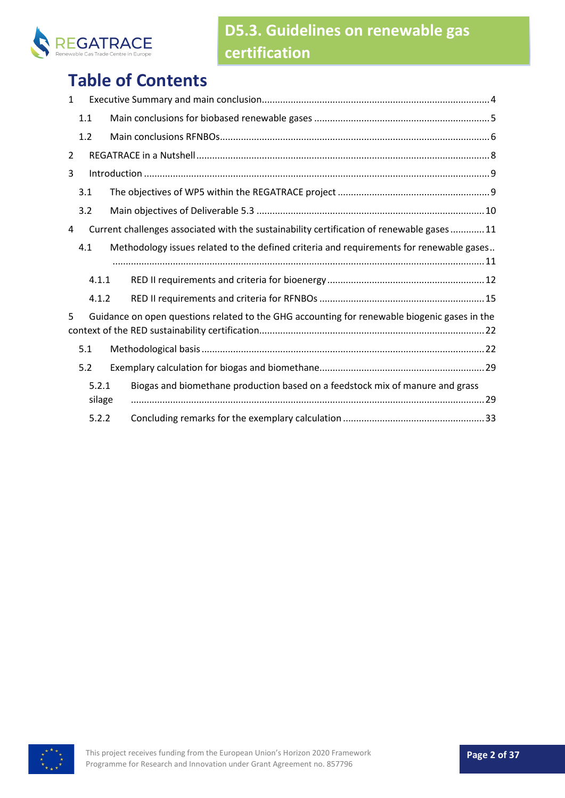

## **Table of Contents**

| $\mathbf 1$    |                 |                                                                                              |  |
|----------------|-----------------|----------------------------------------------------------------------------------------------|--|
|                | 1.1             |                                                                                              |  |
|                | 1.2             |                                                                                              |  |
| $\overline{2}$ |                 |                                                                                              |  |
| 3              |                 |                                                                                              |  |
|                | 3.1             |                                                                                              |  |
|                | 3.2             |                                                                                              |  |
| 4              |                 | Current challenges associated with the sustainability certification of renewable gases  11   |  |
|                | 4.1             | Methodology issues related to the defined criteria and requirements for renewable gases      |  |
|                | 4.1.1           |                                                                                              |  |
|                | 4.1.2           |                                                                                              |  |
| 5              |                 | Guidance on open questions related to the GHG accounting for renewable biogenic gases in the |  |
|                | 5.1             |                                                                                              |  |
|                | 5.2             |                                                                                              |  |
|                | 5.2.1<br>silage | Biogas and biomethane production based on a feedstock mix of manure and grass                |  |
|                | 5.2.2           |                                                                                              |  |

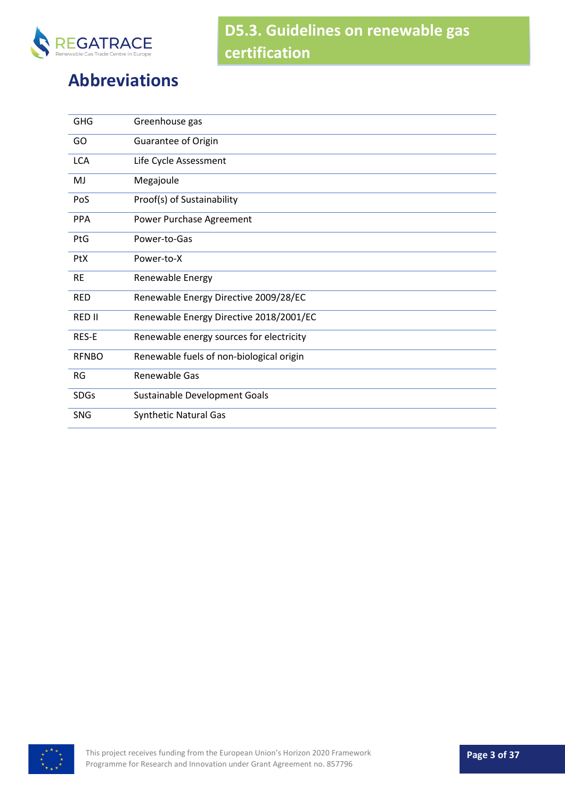

## **Abbreviations**

| <b>GHG</b>    | Greenhouse gas                           |
|---------------|------------------------------------------|
| GO            | Guarantee of Origin                      |
| <b>LCA</b>    | Life Cycle Assessment                    |
| MJ            | Megajoule                                |
| PoS           | Proof(s) of Sustainability               |
| <b>PPA</b>    | Power Purchase Agreement                 |
| PtG           | Power-to-Gas                             |
| <b>PtX</b>    | Power-to-X                               |
| <b>RE</b>     | Renewable Energy                         |
| <b>RED</b>    | Renewable Energy Directive 2009/28/EC    |
| <b>RED II</b> | Renewable Energy Directive 2018/2001/EC  |
| RES-E         | Renewable energy sources for electricity |
| <b>RFNBO</b>  | Renewable fuels of non-biological origin |
| <b>RG</b>     | Renewable Gas                            |
| <b>SDGs</b>   | Sustainable Development Goals            |
| <b>SNG</b>    | <b>Synthetic Natural Gas</b>             |

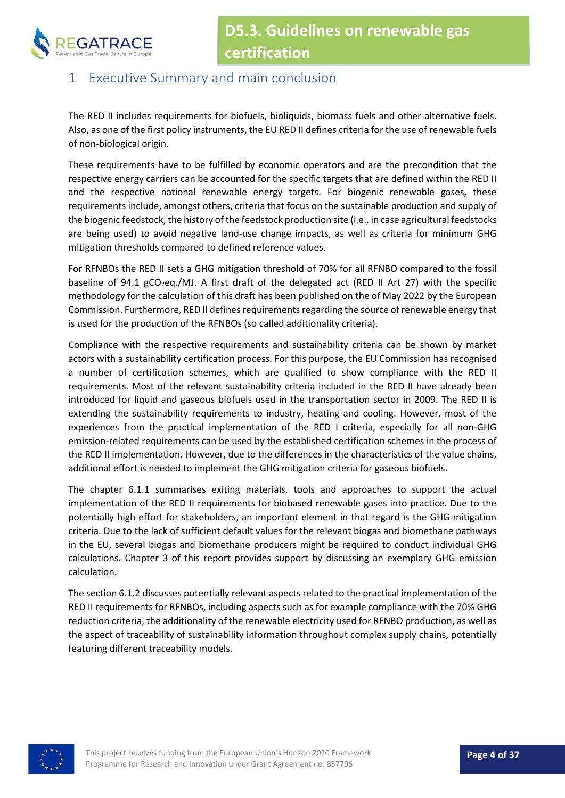

### <span id="page-3-0"></span>1 Executive Summary and main conclusion

The RED II includes requirements for biofuels, bioliquids, biomass fuels and other alternative fuels. Also, as one of the first policy instruments, the EU RED II defines criteria for the use of renewable fuels of non-biological origin.

These requirements have to be fulfilled by economic operators and are the precondition that the respective energy carriers can be accounted for the specific targets that are defined within the RED II and the respective national renewable energy targets. For biogenic renewable gases, these requirements include, amongst others, criteria that focus on the sustainable production and supply of the biogenic feedstock, the history of the feedstock production site (i.e., in case agricultural feedstocks are being used) to avoid negative land-use change impacts, as well as criteria for minimum GHG mitigation thresholds compared to defined reference values.

For RFNBOs the RED II sets a GHG mitigation threshold of 70% for all RFNBO compared to the fossil baseline of 94.1  $gCO_2$ eq./MJ. A first draft of the delegated act (RED II Art 27) with the specific methodology for the calculation of this draft has been published on the of May 2022 by the European Commission. Furthermore, RED II defines requirements regarding the source of renewable energy that is used for the production of the RFNBOs (so called additionality criteria).

Compliance with the respective requirements and sustainability criteria can be shown by market actors with a sustainability certification process. For this purpose, the EU Commission has recognised a number of certification schemes, which are qualified to show compliance with the RED II requirements. Most of the relevant sustainability criteria included in the RED II have already been introduced for liquid and gaseous biofuels used in the transportation sector in 2009. The RED II is extending the sustainability requirements to industry, heating and cooling. However, most of the experiences from the practical implementation of the RED I criteria, especially for all non-GHG emission-related requirements can be used by the established certification schemes in the process of the RED II implementation. However, due to the differences in the characteristics of the value chains, additional effort is needed to implement the GHG mitigation criteria for gaseous biofuels.

The chapter [6.1.1](#page-11-0) summarises exiting materials, tools and approaches to support the actual implementation of the RED II requirements for biobased renewable gases into practice. Due to the potentially high effort for stakeholders, an important element in that regard is the GHG mitigation criteria. Due to the lack of sufficient default values for the relevant biogas and biomethane pathways in the EU, several biogas and biomethane producers might be required to conduct individual GHG calculations. Chapter [3](#page-21-0) of this report provides support by discussing an exemplary GHG emission calculation.

The sectio[n 6.1.2](#page-14-0) discusses potentially relevant aspects related to the practical implementation of the RED II requirements for RFNBOs, including aspects such as for example compliance with the 70% GHG reduction criteria, the additionality of the renewable electricity used for RFNBO production, as well as the aspect of traceability of sustainability information throughout complex supply chains, potentially featuring different traceability models.

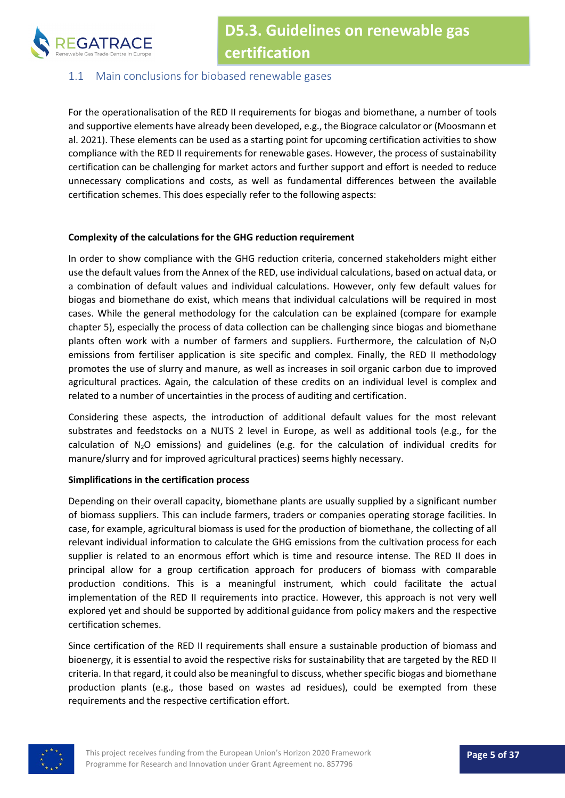

#### <span id="page-4-0"></span>1.1 Main conclusions for biobased renewable gases

For the operationalisation of the RED II requirements for biogas and biomethane, a number of tools and supportive elements have already been developed, e.g., the Biograce calculator or (Moosmann et al. 2021). These elements can be used as a starting point for upcoming certification activities to show compliance with the RED II requirements for renewable gases. However, the process of sustainability certification can be challenging for market actors and further support and effort is needed to reduce unnecessary complications and costs, as well as fundamental differences between the available certification schemes. This does especially refer to the following aspects:

#### **Complexity of the calculations for the GHG reduction requirement**

In order to show compliance with the GHG reduction criteria, concerned stakeholders might either use the default values from the Annex of the RED, use individual calculations, based on actual data, or a combination of default values and individual calculations. However, only few default values for biogas and biomethane do exist, which means that individual calculations will be required in most cases. While the general methodology for the calculation can be explained (compare for example chapter [5\)](#page-21-0), especially the process of data collection can be challenging since biogas and biomethane plants often work with a number of farmers and suppliers. Furthermore, the calculation of  $N_2O$ emissions from fertiliser application is site specific and complex. Finally, the RED II methodology promotes the use of slurry and manure, as well as increases in soil organic carbon due to improved agricultural practices. Again, the calculation of these credits on an individual level is complex and related to a number of uncertainties in the process of auditing and certification.

Considering these aspects, the introduction of additional default values for the most relevant substrates and feedstocks on a NUTS 2 level in Europe, as well as additional tools (e.g., for the calculation of  $N_2O$  emissions) and guidelines (e.g. for the calculation of individual credits for manure/slurry and for improved agricultural practices) seems highly necessary.

#### **Simplifications in the certification process**

Depending on their overall capacity, biomethane plants are usually supplied by a significant number of biomass suppliers. This can include farmers, traders or companies operating storage facilities. In case, for example, agricultural biomass is used for the production of biomethane, the collecting of all relevant individual information to calculate the GHG emissions from the cultivation process for each supplier is related to an enormous effort which is time and resource intense. The RED II does in principal allow for a group certification approach for producers of biomass with comparable production conditions. This is a meaningful instrument, which could facilitate the actual implementation of the RED II requirements into practice. However, this approach is not very well explored yet and should be supported by additional guidance from policy makers and the respective certification schemes.

Since certification of the RED II requirements shall ensure a sustainable production of biomass and bioenergy, it is essential to avoid the respective risks for sustainability that are targeted by the RED II criteria. In that regard, it could also be meaningful to discuss, whether specific biogas and biomethane production plants (e.g., those based on wastes ad residues), could be exempted from these requirements and the respective certification effort.

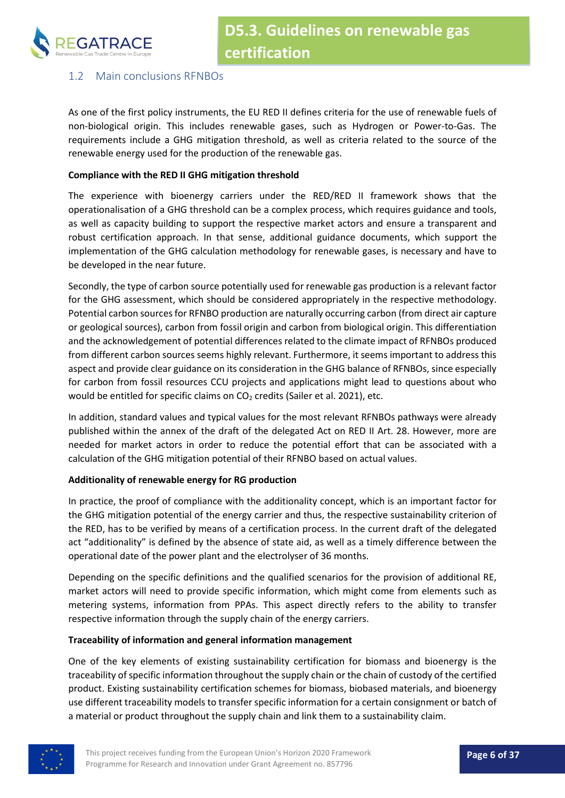

#### <span id="page-5-0"></span>1.2 Main conclusions RFNBOs

As one of the first policy instruments, the EU RED II defines criteria for the use of renewable fuels of non-biological origin. This includes renewable gases, such as Hydrogen or Power-to-Gas. The requirements include a GHG mitigation threshold, as well as criteria related to the source of the renewable energy used for the production of the renewable gas.

#### **Compliance with the RED II GHG mitigation threshold**

The experience with bioenergy carriers under the RED/RED II framework shows that the operationalisation of a GHG threshold can be a complex process, which requires guidance and tools, as well as capacity building to support the respective market actors and ensure a transparent and robust certification approach. In that sense, additional guidance documents, which support the implementation of the GHG calculation methodology for renewable gases, is necessary and have to be developed in the near future.

Secondly, the type of carbon source potentially used for renewable gas production is a relevant factor for the GHG assessment, which should be considered appropriately in the respective methodology. Potential carbon sources for RFNBO production are naturally occurring carbon (from direct air capture or geological sources), carbon from fossil origin and carbon from biological origin. This differentiation and the acknowledgement of potential differences related to the climate impact of RFNBOs produced from different carbon sources seems highly relevant. Furthermore, it seems important to address this aspect and provide clear guidance on its consideration in the GHG balance of RFNBOs, since especially for carbon from fossil resources CCU projects and applications might lead to questions about who would be entitled for specific claims on  $CO<sub>2</sub>$  credits (Sailer et al. 2021), etc.

In addition, standard values and typical values for the most relevant RFNBOs pathways were already published within the annex of the draft of the delegated Act on RED II Art. 28. However, more are needed for market actors in order to reduce the potential effort that can be associated with a calculation of the GHG mitigation potential of their RFNBO based on actual values.

#### **Additionality of renewable energy for RG production**

In practice, the proof of compliance with the additionality concept, which is an important factor for the GHG mitigation potential of the energy carrier and thus, the respective sustainability criterion of the RED, has to be verified by means of a certification process. In the current draft of the delegated act "additionality" is defined by the absence of state aid, as well as a timely difference between the operational date of the power plant and the electrolyser of 36 months.

Depending on the specific definitions and the qualified scenarios for the provision of additional RE, market actors will need to provide specific information, which might come from elements such as metering systems, information from PPAs. This aspect directly refers to the ability to transfer respective information through the supply chain of the energy carriers.

#### **Traceability of information and general information management**

One of the key elements of existing sustainability certification for biomass and bioenergy is the traceability of specific information throughout the supply chain or the chain of custody of the certified product. Existing sustainability certification schemes for biomass, biobased materials, and bioenergy use different traceability models to transfer specific information for a certain consignment or batch of a material or product throughout the supply chain and link them to a sustainability claim.

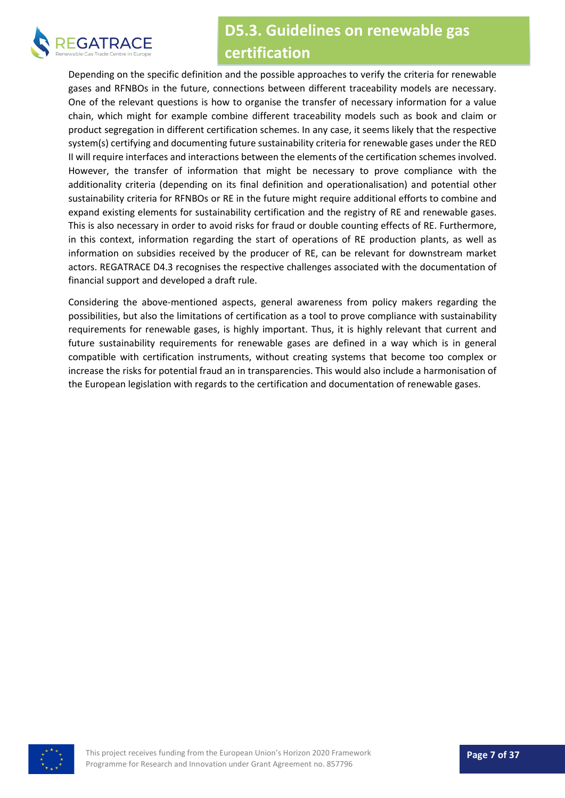

Depending on the specific definition and the possible approaches to verify the criteria for renewable gases and RFNBOs in the future, connections between different traceability models are necessary. One of the relevant questions is how to organise the transfer of necessary information for a value chain, which might for example combine different traceability models such as book and claim or product segregation in different certification schemes. In any case, it seems likely that the respective system(s) certifying and documenting future sustainability criteria for renewable gases under the RED II will require interfaces and interactions between the elements of the certification schemes involved. However, the transfer of information that might be necessary to prove compliance with the additionality criteria (depending on its final definition and operationalisation) and potential other sustainability criteria for RFNBOs or RE in the future might require additional efforts to combine and expand existing elements for sustainability certification and the registry of RE and renewable gases. This is also necessary in order to avoid risks for fraud or double counting effects of RE. Furthermore, in this context, information regarding the start of operations of RE production plants, as well as information on subsidies received by the producer of RE, can be relevant for downstream market actors. REGATRACE D4.3 recognises the respective challenges associated with the documentation of financial support and developed a draft rule.

Considering the above-mentioned aspects, general awareness from policy makers regarding the possibilities, but also the limitations of certification as a tool to prove compliance with sustainability requirements for renewable gases, is highly important. Thus, it is highly relevant that current and future sustainability requirements for renewable gases are defined in a way which is in general compatible with certification instruments, without creating systems that become too complex or increase the risks for potential fraud an in transparencies. This would also include a harmonisation of the European legislation with regards to the certification and documentation of renewable gases.

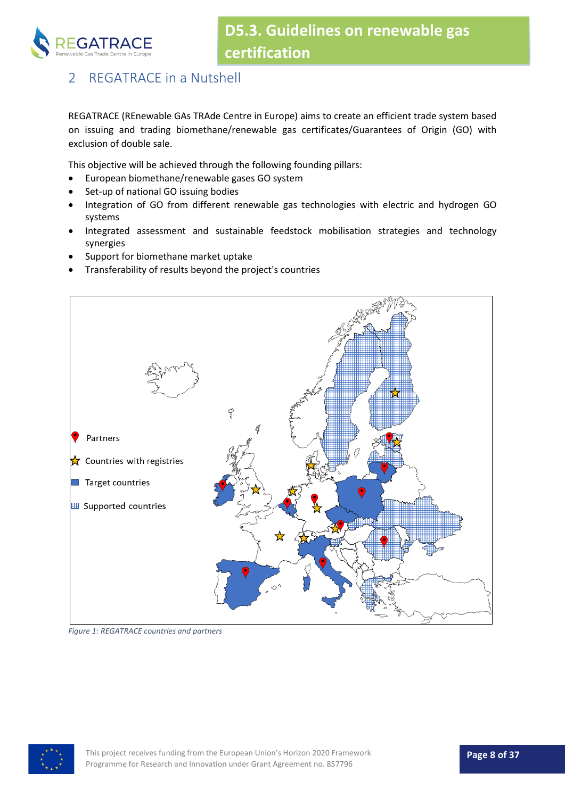

## <span id="page-7-0"></span>2 REGATRACE in a Nutshell

REGATRACE (REnewable GAs TRAde Centre in Europe) aims to create an efficient trade system based on issuing and trading biomethane/renewable gas certificates/Guarantees of Origin (GO) with exclusion of double sale.

This objective will be achieved through the following founding pillars:

- European biomethane/renewable gases GO system
- Set-up of national GO issuing bodies
- Integration of GO from different renewable gas technologies with electric and hydrogen GO systems
- Integrated assessment and sustainable feedstock mobilisation strategies and technology synergies
- Support for biomethane market uptake
- Transferability of results beyond the project's countries



*Figure 1: REGATRACE countries and partners*

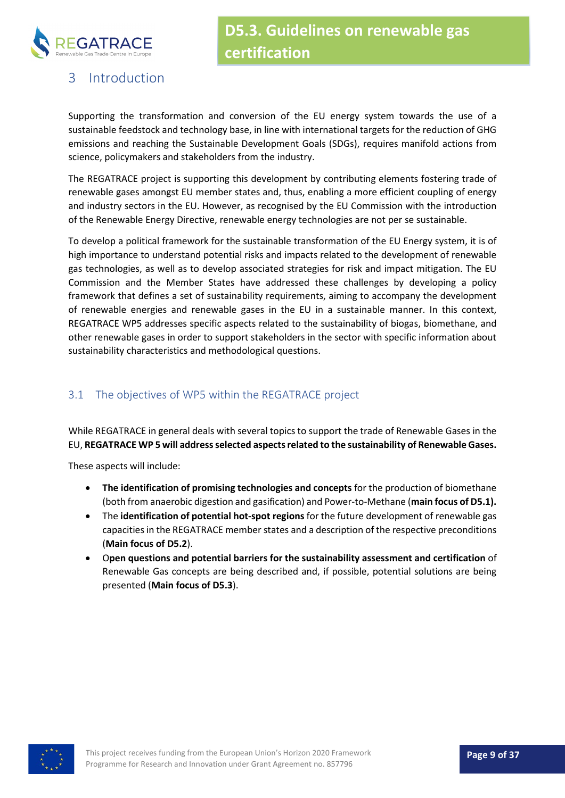

## <span id="page-8-0"></span>3 Introduction

Supporting the transformation and conversion of the EU energy system towards the use of a sustainable feedstock and technology base, in line with international targets for the reduction of GHG emissions and reaching the Sustainable Development Goals (SDGs), requires manifold actions from science, policymakers and stakeholders from the industry.

The REGATRACE project is supporting this development by contributing elements fostering trade of renewable gases amongst EU member states and, thus, enabling a more efficient coupling of energy and industry sectors in the EU. However, as recognised by the EU Commission with the introduction of the Renewable Energy Directive, renewable energy technologies are not per se sustainable.

To develop a political framework for the sustainable transformation of the EU Energy system, it is of high importance to understand potential risks and impacts related to the development of renewable gas technologies, as well as to develop associated strategies for risk and impact mitigation. The EU Commission and the Member States have addressed these challenges by developing a policy framework that defines a set of sustainability requirements, aiming to accompany the development of renewable energies and renewable gases in the EU in a sustainable manner. In this context, REGATRACE WP5 addresses specific aspects related to the sustainability of biogas, biomethane, and other renewable gases in order to support stakeholders in the sector with specific information about sustainability characteristics and methodological questions.

#### <span id="page-8-1"></span>3.1 The objectives of WP5 within the REGATRACE project

While REGATRACE in general deals with several topics to support the trade of Renewable Gases in the EU, **REGATRACE WP 5 will address selected aspects related to the sustainability of Renewable Gases.**

These aspects will include:

- **The identification of promising technologies and concepts** for the production of biomethane (both from anaerobic digestion and gasification) and Power-to-Methane (**main focus of D5.1).**
- The **identification of potential hot-spot regions** for the future development of renewable gas capacities in the REGATRACE member states and a description of the respective preconditions (**Main focus of D5.2**).
- O**pen questions and potential barriers for the sustainability assessment and certification** of Renewable Gas concepts are being described and, if possible, potential solutions are being presented (**Main focus of D5.3**).

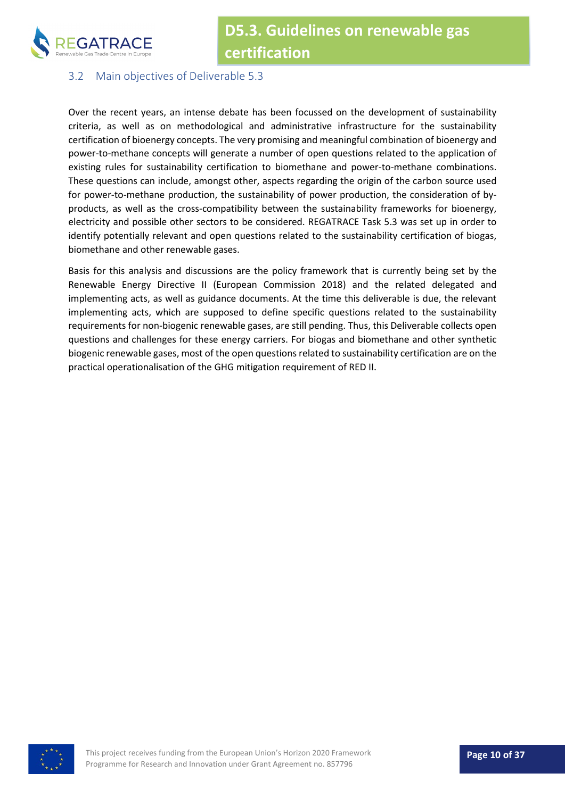

#### <span id="page-9-0"></span>3.2 Main objectives of Deliverable 5.3

Over the recent years, an intense debate has been focussed on the development of sustainability criteria, as well as on methodological and administrative infrastructure for the sustainability certification of bioenergy concepts. The very promising and meaningful combination of bioenergy and power-to-methane concepts will generate a number of open questions related to the application of existing rules for sustainability certification to biomethane and power-to-methane combinations. These questions can include, amongst other, aspects regarding the origin of the carbon source used for power-to-methane production, the sustainability of power production, the consideration of byproducts, as well as the cross-compatibility between the sustainability frameworks for bioenergy, electricity and possible other sectors to be considered. REGATRACE Task 5.3 was set up in order to identify potentially relevant and open questions related to the sustainability certification of biogas, biomethane and other renewable gases.

Basis for this analysis and discussions are the policy framework that is currently being set by the Renewable Energy Directive II (European Commission 2018) and the related delegated and implementing acts, as well as guidance documents. At the time this deliverable is due, the relevant implementing acts, which are supposed to define specific questions related to the sustainability requirements for non-biogenic renewable gases, are still pending. Thus, this Deliverable collects open questions and challenges for these energy carriers. For biogas and biomethane and other synthetic biogenic renewable gases, most of the open questions related to sustainability certification are on the practical operationalisation of the GHG mitigation requirement of RED II.

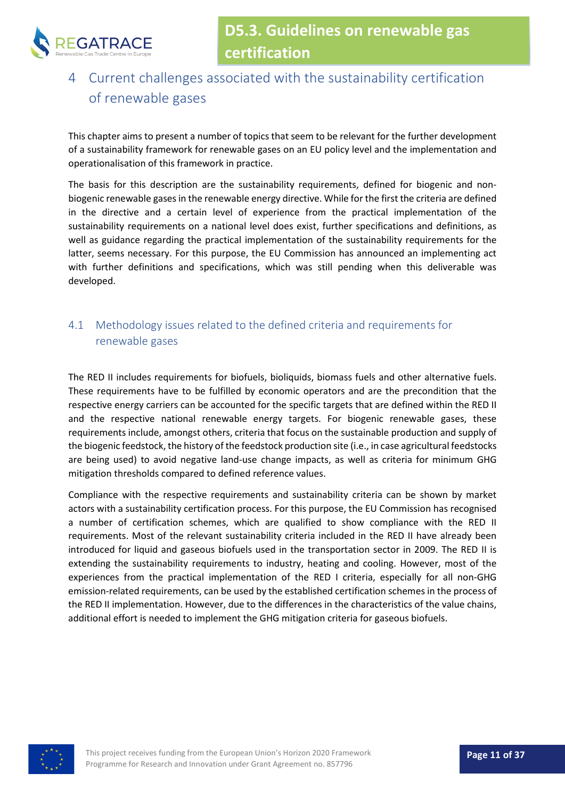

## <span id="page-10-0"></span>4 Current challenges associated with the sustainability certification of renewable gases

This chapter aims to present a number of topics that seem to be relevant for the further development of a sustainability framework for renewable gases on an EU policy level and the implementation and operationalisation of this framework in practice.

The basis for this description are the sustainability requirements, defined for biogenic and nonbiogenic renewable gases in the renewable energy directive. While for the first the criteria are defined in the directive and a certain level of experience from the practical implementation of the sustainability requirements on a national level does exist, further specifications and definitions, as well as guidance regarding the practical implementation of the sustainability requirements for the latter, seems necessary. For this purpose, the EU Commission has announced an implementing act with further definitions and specifications, which was still pending when this deliverable was developed.

#### <span id="page-10-1"></span>4.1 Methodology issues related to the defined criteria and requirements for renewable gases

The RED II includes requirements for biofuels, bioliquids, biomass fuels and other alternative fuels. These requirements have to be fulfilled by economic operators and are the precondition that the respective energy carriers can be accounted for the specific targets that are defined within the RED II and the respective national renewable energy targets. For biogenic renewable gases, these requirements include, amongst others, criteria that focus on the sustainable production and supply of the biogenic feedstock, the history of the feedstock production site (i.e., in case agricultural feedstocks are being used) to avoid negative land-use change impacts, as well as criteria for minimum GHG mitigation thresholds compared to defined reference values.

Compliance with the respective requirements and sustainability criteria can be shown by market actors with a sustainability certification process. For this purpose, the EU Commission has recognised a number of certification schemes, which are qualified to show compliance with the RED II requirements. Most of the relevant sustainability criteria included in the RED II have already been introduced for liquid and gaseous biofuels used in the transportation sector in 2009. The RED II is extending the sustainability requirements to industry, heating and cooling. However, most of the experiences from the practical implementation of the RED I criteria, especially for all non-GHG emission-related requirements, can be used by the established certification schemes in the process of the RED II implementation. However, due to the differences in the characteristics of the value chains, additional effort is needed to implement the GHG mitigation criteria for gaseous biofuels.

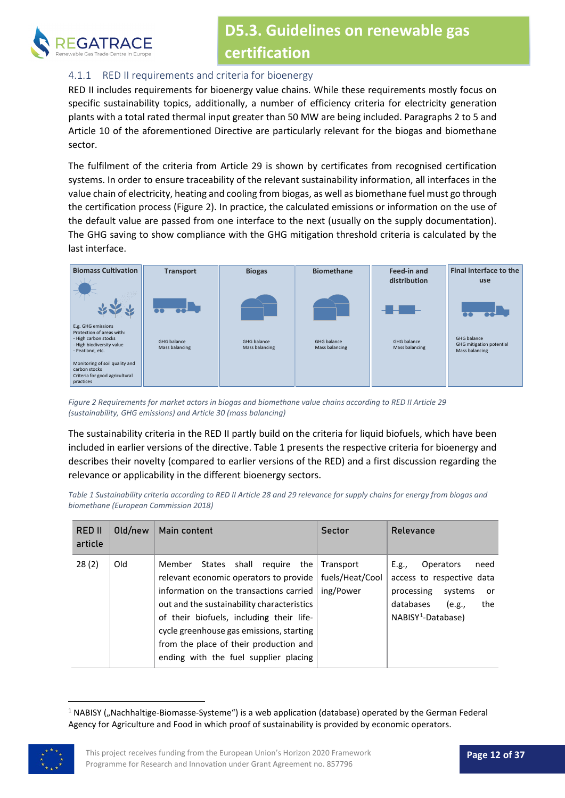

#### <span id="page-11-0"></span>4.1.1 RED II requirements and criteria for bioenergy

RED II includes requirements for bioenergy value chains. While these requirements mostly focus on specific sustainability topics, additionally, a number of efficiency criteria for electricity generation plants with a total rated thermal input greater than 50 MW are being included. Paragraphs 2 to 5 and Article 10 of the aforementioned Directive are particularly relevant for the biogas and biomethane sector.

The fulfilment of the criteria from Article 29 is shown by certificates from recognised certification systems. In order to ensure traceability of the relevant sustainability information, all interfaces in the value chain of electricity, heating and cooling from biogas, as well as biomethane fuel must go through the certification process [\(Figure 2\)](#page-11-1). In practice, the calculated emissions or information on the use of the default value are passed from one interface to the next (usually on the supply documentation). The GHG saving to show compliance with the GHG mitigation threshold criteria is calculated by the last interface.



<span id="page-11-1"></span>*Figure 2 Requirements for market actors in biogas and biomethane value chains according to RED II Article 29 (sustainability, GHG emissions) and Article 30 (mass balancing)*

The sustainability criteria in the RED II partly build on the criteria for liquid biofuels, which have been included in earlier versions of the directive[. Table 1](#page-11-2) presents the respective criteria for bioenergy and describes their novelty (compared to earlier versions of the RED) and a first discussion regarding the relevance or applicability in the different bioenergy sectors.

<span id="page-11-2"></span>*Table 1 Sustainability criteria according to RED II Article 28 and 29 relevance for supply chains for energy from biogas and biomethane (European Commission 2018)*

| RED II<br>article | Old/new | Main content                                                                                                                                                                                                                                                                                                                                           | <b>Sector</b>                             | Relevance                                                                                                                                                     |
|-------------------|---------|--------------------------------------------------------------------------------------------------------------------------------------------------------------------------------------------------------------------------------------------------------------------------------------------------------------------------------------------------------|-------------------------------------------|---------------------------------------------------------------------------------------------------------------------------------------------------------------|
| 28(2)             | Old     | States shall<br>Member<br>reguire<br>the<br>relevant economic operators to provide<br>information on the transactions carried<br>out and the sustainability characteristics<br>of their biofuels, including their life-<br>cycle greenhouse gas emissions, starting<br>from the place of their production and<br>ending with the fuel supplier placing | Transport<br>fuels/Heat/Cool<br>ing/Power | need<br><b>Operators</b><br>E.g.,<br>access to respective data<br>processing<br>systems<br>or<br>databases<br>the<br>(e.g.,<br>NABISY <sup>1</sup> -Database) |

 $1$  NABISY ("Nachhaltige-Biomasse-Systeme") is a web application (database) operated by the German Federal Agency for Agriculture and Food in which proof of sustainability is provided by economic operators.

<span id="page-11-3"></span>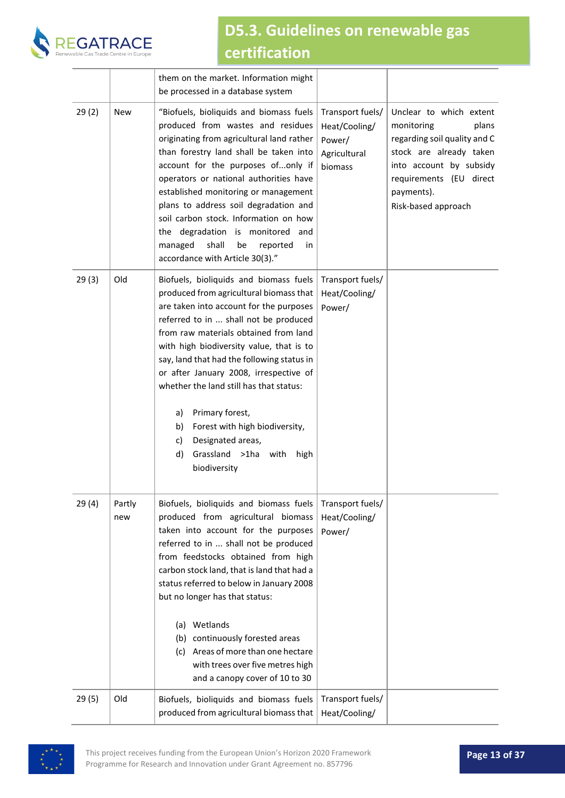

|       |               | them on the market. Information might<br>be processed in a database system                                                                                                                                                                                                                                                                                                                                                                                                                                                                     |                                                                        |                                                                                                                                                                                                      |
|-------|---------------|------------------------------------------------------------------------------------------------------------------------------------------------------------------------------------------------------------------------------------------------------------------------------------------------------------------------------------------------------------------------------------------------------------------------------------------------------------------------------------------------------------------------------------------------|------------------------------------------------------------------------|------------------------------------------------------------------------------------------------------------------------------------------------------------------------------------------------------|
| 29(2) | <b>New</b>    | "Biofuels, bioliquids and biomass fuels<br>produced from wastes and residues<br>originating from agricultural land rather<br>than forestry land shall be taken into<br>account for the purposes ofonly if<br>operators or national authorities have<br>established monitoring or management<br>plans to address soil degradation and<br>soil carbon stock. Information on how<br>the degradation is monitored and<br>managed<br>shall<br>be<br>reported<br>in<br>accordance with Article 30(3)."                                               | Transport fuels/<br>Heat/Cooling/<br>Power/<br>Agricultural<br>biomass | Unclear to which extent<br>plans<br>monitoring<br>regarding soil quality and C<br>stock are already taken<br>into account by subsidy<br>requirements (EU direct<br>payments).<br>Risk-based approach |
| 29(3) | Old           | Biofuels, bioliquids and biomass fuels<br>produced from agricultural biomass that<br>are taken into account for the purposes<br>referred to in  shall not be produced<br>from raw materials obtained from land<br>with high biodiversity value, that is to<br>say, land that had the following status in<br>or after January 2008, irrespective of<br>whether the land still has that status:<br>Primary forest,<br>a)<br>Forest with high biodiversity,<br>b)<br>Designated areas,<br>c)<br>Grassland >1ha with<br>d)<br>high<br>biodiversity | Transport fuels/<br>Heat/Cooling/<br>Power/                            |                                                                                                                                                                                                      |
| 29(4) | Partly<br>new | Biofuels, bioliquids and biomass fuels<br>produced from agricultural biomass<br>taken into account for the purposes<br>referred to in  shall not be produced<br>from feedstocks obtained from high<br>carbon stock land, that is land that had a<br>status referred to below in January 2008<br>but no longer has that status:<br>(a) Wetlands<br>(b) continuously forested areas<br>(c) Areas of more than one hectare<br>with trees over five metres high<br>and a canopy cover of 10 to 30                                                  | Transport fuels/<br>Heat/Cooling/<br>Power/                            |                                                                                                                                                                                                      |
| 29(5) | Old           | Biofuels, bioliquids and biomass fuels<br>produced from agricultural biomass that                                                                                                                                                                                                                                                                                                                                                                                                                                                              | Transport fuels/<br>Heat/Cooling/                                      |                                                                                                                                                                                                      |

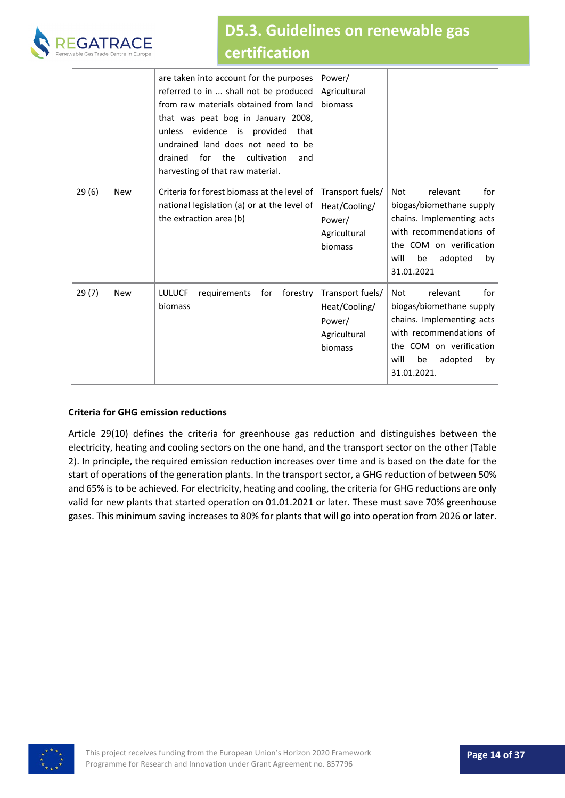

|       |            | are taken into account for the purposes<br>referred to in  shall not be produced<br>from raw materials obtained from land<br>that was peat bog in January 2008,<br>unless evidence is provided<br>that<br>undrained land does not need to be<br>drained<br>for<br>the<br>cultivation<br>and<br>harvesting of that raw material. | Power/<br>Agricultural<br>biomass                                      |                                                                                                                                                                                     |
|-------|------------|---------------------------------------------------------------------------------------------------------------------------------------------------------------------------------------------------------------------------------------------------------------------------------------------------------------------------------|------------------------------------------------------------------------|-------------------------------------------------------------------------------------------------------------------------------------------------------------------------------------|
| 29(6) | <b>New</b> | Criteria for forest biomass at the level of<br>national legislation (a) or at the level of<br>the extraction area (b)                                                                                                                                                                                                           | Transport fuels/<br>Heat/Cooling/<br>Power/<br>Agricultural<br>biomass | for<br>Not<br>relevant<br>biogas/biomethane supply<br>chains. Implementing acts<br>with recommendations of<br>the COM on verification<br>will<br>be<br>adopted<br>by<br>31.01.2021  |
| 29(7) | <b>New</b> | <b>LULUCF</b><br>forestry<br>requirements<br>for<br>biomass                                                                                                                                                                                                                                                                     | Transport fuels/<br>Heat/Cooling/<br>Power/<br>Agricultural<br>biomass | for<br>relevant<br>Not<br>biogas/biomethane supply<br>chains. Implementing acts<br>with recommendations of<br>the COM on verification<br>will<br>be<br>adopted<br>by<br>31.01.2021. |

#### **Criteria for GHG emission reductions**

Article 29(10) defines the criteria for greenhouse gas reduction and distinguishes between the electricity, heating and cooling sectors on the one hand, and the transport sector on the other [\(Table](#page-14-1)  [2\)](#page-14-1). In principle, the required emission reduction increases over time and is based on the date for the start of operations of the generation plants. In the transport sector, a GHG reduction of between 50% and 65% is to be achieved. For electricity, heating and cooling, the criteria for GHG reductions are only valid for new plants that started operation on 01.01.2021 or later. These must save 70% greenhouse gases. This minimum saving increases to 80% for plants that will go into operation from 2026 or later.

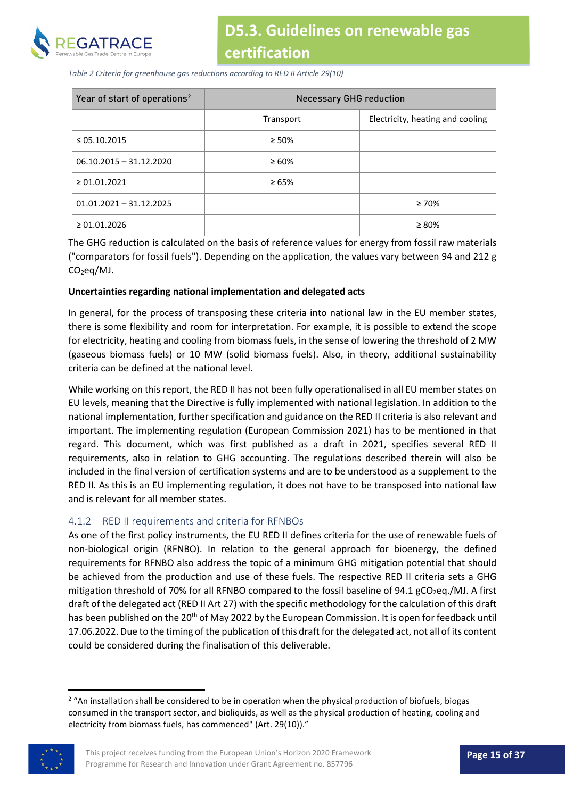

<span id="page-14-1"></span>*Table 2 Criteria for greenhouse gas reductions according to RED II Article 29(10)*

| Year of start of operations <sup>2</sup> | <b>Necessary GHG reduction</b> |                                  |  |  |  |
|------------------------------------------|--------------------------------|----------------------------------|--|--|--|
|                                          | Transport                      | Electricity, heating and cooling |  |  |  |
| $\leq$ 05.10.2015                        | $\geq 50\%$                    |                                  |  |  |  |
| $06.10.2015 - 31.12.2020$                | $\geq 60\%$                    |                                  |  |  |  |
| $\geq 01.01.2021$                        | $\geq 65\%$                    |                                  |  |  |  |
| $01.01.2021 - 31.12.2025$                |                                | $\geq 70\%$                      |  |  |  |
| $\geq 01.01.2026$                        |                                | $\geq 80\%$                      |  |  |  |

The GHG reduction is calculated on the basis of reference values for energy from fossil raw materials ("comparators for fossil fuels"). Depending on the application, the values vary between 94 and 212 g CO<sub>2</sub>eq/MJ.

#### **Uncertainties regarding national implementation and delegated acts**

In general, for the process of transposing these criteria into national law in the EU member states, there is some flexibility and room for interpretation. For example, it is possible to extend the scope for electricity, heating and cooling from biomass fuels, in the sense of lowering the threshold of 2 MW (gaseous biomass fuels) or 10 MW (solid biomass fuels). Also, in theory, additional sustainability criteria can be defined at the national level.

While working on this report, the RED II has not been fully operationalised in all EU member states on EU levels, meaning that the Directive is fully implemented with national legislation. In addition to the national implementation, further specification and guidance on the RED II criteria is also relevant and important. The implementing regulation (European Commission 2021) has to be mentioned in that regard. This document, which was first published as a draft in 2021, specifies several RED II requirements, also in relation to GHG accounting. The regulations described therein will also be included in the final version of certification systems and are to be understood as a supplement to the RED II. As this is an EU implementing regulation, it does not have to be transposed into national law and is relevant for all member states.

#### <span id="page-14-0"></span>4.1.2 RED II requirements and criteria for RFNBOs

As one of the first policy instruments, the EU RED II defines criteria for the use of renewable fuels of non-biological origin (RFNBO). In relation to the general approach for bioenergy, the defined requirements for RFNBO also address the topic of a minimum GHG mitigation potential that should be achieved from the production and use of these fuels. The respective RED II criteria sets a GHG mitigation threshold of 70% for all RFNBO compared to the fossil baseline of 94.1 gCO<sub>2</sub>eq./MJ. A first draft of the delegated act (RED II Art 27) with the specific methodology for the calculation of this draft has been published on the 20<sup>th</sup> of May 2022 by the European Commission. It is open for feedback until 17.06.2022. Due to the timing of the publication of this draft for the delegated act, not all of its content could be considered during the finalisation of this deliverable.

<span id="page-14-2"></span><sup>&</sup>lt;sup>2</sup> "An installation shall be considered to be in operation when the physical production of biofuels, biogas consumed in the transport sector, and bioliquids, as well as the physical production of heating, cooling and electricity from biomass fuels, has commenced" (Art. 29(10))."

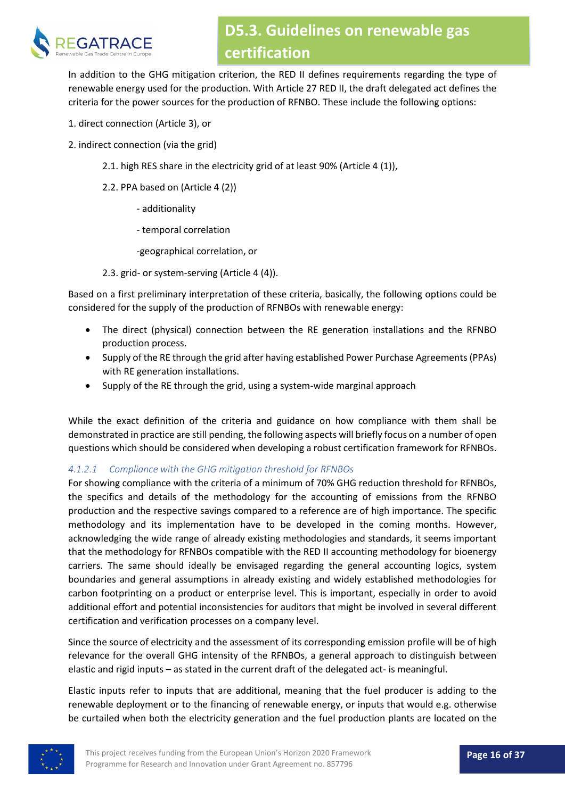

In addition to the GHG mitigation criterion, the RED II defines requirements regarding the type of renewable energy used for the production. With Article 27 RED II, the draft delegated act defines the criteria for the power sources for the production of RFNBO. These include the following options:

- 1. direct connection (Article 3), or
- 2. indirect connection (via the grid)
	- 2.1. high RES share in the electricity grid of at least 90% (Article 4 (1)),
	- 2.2. PPA based on (Article 4 (2))
		- additionality
		- temporal correlation
		- -geographical correlation, or
	- 2.3. grid- or system-serving (Article 4 (4)).

Based on a first preliminary interpretation of these criteria, basically, the following options could be considered for the supply of the production of RFNBOs with renewable energy:

- The direct (physical) connection between the RE generation installations and the RFNBO production process.
- Supply of the RE through the grid after having established Power Purchase Agreements (PPAs) with RE generation installations.
- Supply of the RE through the grid, using a system-wide marginal approach

While the exact definition of the criteria and guidance on how compliance with them shall be demonstrated in practice are still pending, the following aspects will briefly focus on a number of open questions which should be considered when developing a robust certification framework for RFNBOs.

#### *4.1.2.1 Compliance with the GHG mitigation threshold for RFNBOs*

For showing compliance with the criteria of a minimum of 70% GHG reduction threshold for RFNBOs, the specifics and details of the methodology for the accounting of emissions from the RFNBO production and the respective savings compared to a reference are of high importance. The specific methodology and its implementation have to be developed in the coming months. However, acknowledging the wide range of already existing methodologies and standards, it seems important that the methodology for RFNBOs compatible with the RED II accounting methodology for bioenergy carriers. The same should ideally be envisaged regarding the general accounting logics, system boundaries and general assumptions in already existing and widely established methodologies for carbon footprinting on a product or enterprise level. This is important, especially in order to avoid additional effort and potential inconsistencies for auditors that might be involved in several different certification and verification processes on a company level.

Since the source of electricity and the assessment of its corresponding emission profile will be of high relevance for the overall GHG intensity of the RFNBOs, a general approach to distinguish between elastic and rigid inputs – as stated in the current draft of the delegated act- is meaningful.

Elastic inputs refer to inputs that are additional, meaning that the fuel producer is adding to the renewable deployment or to the financing of renewable energy, or inputs that would e.g. otherwise be curtailed when both the electricity generation and the fuel production plants are located on the

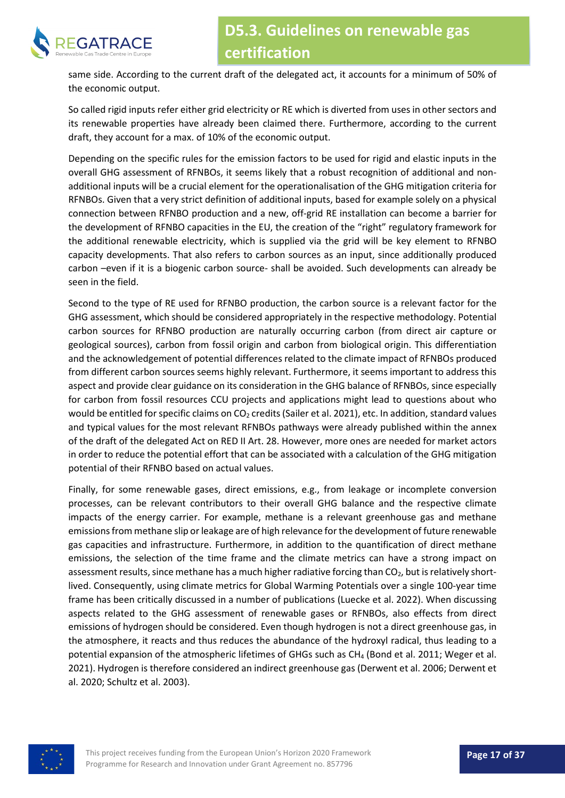

same side. According to the current draft of the delegated act, it accounts for a minimum of 50% of the economic output.

So called rigid inputs refer either grid electricity or RE which is diverted from uses in other sectors and its renewable properties have already been claimed there. Furthermore, according to the current draft, they account for a max. of 10% of the economic output.

Depending on the specific rules for the emission factors to be used for rigid and elastic inputs in the overall GHG assessment of RFNBOs, it seems likely that a robust recognition of additional and nonadditional inputs will be a crucial element for the operationalisation of the GHG mitigation criteria for RFNBOs. Given that a very strict definition of additional inputs, based for example solely on a physical connection between RFNBO production and a new, off-grid RE installation can become a barrier for the development of RFNBO capacities in the EU, the creation of the "right" regulatory framework for the additional renewable electricity, which is supplied via the grid will be key element to RFNBO capacity developments. That also refers to carbon sources as an input, since additionally produced carbon –even if it is a biogenic carbon source- shall be avoided. Such developments can already be seen in the field.

Second to the type of RE used for RFNBO production, the carbon source is a relevant factor for the GHG assessment, which should be considered appropriately in the respective methodology. Potential carbon sources for RFNBO production are naturally occurring carbon (from direct air capture or geological sources), carbon from fossil origin and carbon from biological origin. This differentiation and the acknowledgement of potential differences related to the climate impact of RFNBOs produced from different carbon sources seems highly relevant. Furthermore, it seems important to address this aspect and provide clear guidance on its consideration in the GHG balance of RFNBOs, since especially for carbon from fossil resources CCU projects and applications might lead to questions about who would be entitled for specific claims on CO<sub>2</sub> credits (Sailer et al. 2021), etc. In addition, standard values and typical values for the most relevant RFNBOs pathways were already published within the annex of the draft of the delegated Act on RED II Art. 28. However, more ones are needed for market actors in order to reduce the potential effort that can be associated with a calculation of the GHG mitigation potential of their RFNBO based on actual values.

Finally, for some renewable gases, direct emissions, e.g., from leakage or incomplete conversion processes, can be relevant contributors to their overall GHG balance and the respective climate impacts of the energy carrier. For example, methane is a relevant greenhouse gas and methane emissions from methane slip or leakage are of high relevance for the development of future renewable gas capacities and infrastructure. Furthermore, in addition to the quantification of direct methane emissions, the selection of the time frame and the climate metrics can have a strong impact on assessment results, since methane has a much higher radiative forcing than CO<sub>2</sub>, but is relatively shortlived. Consequently, using climate metrics for Global Warming Potentials over a single 100-year time frame has been critically discussed in a number of publications (Luecke et al. 2022). When discussing aspects related to the GHG assessment of renewable gases or RFNBOs, also effects from direct emissions of hydrogen should be considered. Even though hydrogen is not a direct greenhouse gas, in the atmosphere, it reacts and thus reduces the abundance of the hydroxyl radical, thus leading to a potential expansion of the atmospheric lifetimes of GHGs such as CH<sub>4</sub> (Bond et al. 2011; Weger et al. 2021). Hydrogen is therefore considered an indirect greenhouse gas (Derwent et al. 2006; Derwent et al. 2020; Schultz et al. 2003).

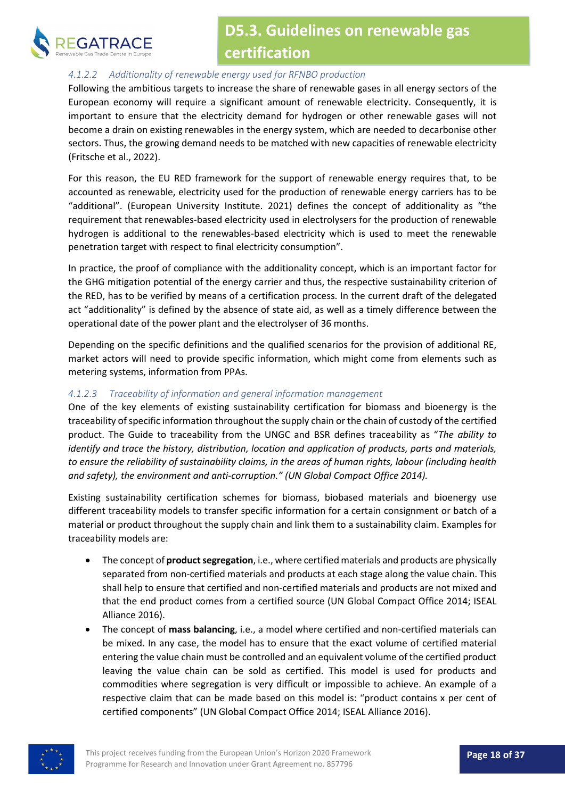

#### *4.1.2.2 Additionality of renewable energy used for RFNBO production*

Following the ambitious targets to increase the share of renewable gases in all energy sectors of the European economy will require a significant amount of renewable electricity. Consequently, it is important to ensure that the electricity demand for hydrogen or other renewable gases will not become a drain on existing renewables in the energy system, which are needed to decarbonise other sectors. Thus, the growing demand needs to be matched with new capacities of renewable electricity (Fritsche et al., 2022).

For this reason, the EU RED framework for the support of renewable energy requires that, to be accounted as renewable, electricity used for the production of renewable energy carriers has to be "additional". (European University Institute. 2021) defines the concept of additionality as "the requirement that renewables-based electricity used in electrolysers for the production of renewable hydrogen is additional to the renewables-based electricity which is used to meet the renewable penetration target with respect to final electricity consumption".

In practice, the proof of compliance with the additionality concept, which is an important factor for the GHG mitigation potential of the energy carrier and thus, the respective sustainability criterion of the RED, has to be verified by means of a certification process. In the current draft of the delegated act "additionality" is defined by the absence of state aid, as well as a timely difference between the operational date of the power plant and the electrolyser of 36 months.

Depending on the specific definitions and the qualified scenarios for the provision of additional RE, market actors will need to provide specific information, which might come from elements such as metering systems, information from PPAs.

#### *4.1.2.3 Traceability of information and general information management*

One of the key elements of existing sustainability certification for biomass and bioenergy is the traceability of specific information throughout the supply chain or the chain of custody of the certified product. The Guide to traceability from the UNGC and BSR defines traceability as "*The ability to identify and trace the history, distribution, location and application of products, parts and materials, to ensure the reliability of sustainability claims, in the areas of human rights, labour (including health and safety), the environment and anti-corruption." (UN Global Compact Office 2014).* 

Existing sustainability certification schemes for biomass, biobased materials and bioenergy use different traceability models to transfer specific information for a certain consignment or batch of a material or product throughout the supply chain and link them to a sustainability claim. Examples for traceability models are:

- The concept of **product segregation**, i.e., where certified materials and products are physically separated from non-certified materials and products at each stage along the value chain. This shall help to ensure that certified and non-certified materials and products are not mixed and that the end product comes from a certified source (UN Global Compact Office 2014; ISEAL Alliance 2016).
- The concept of **mass balancing**, i.e., a model where certified and non-certified materials can be mixed. In any case, the model has to ensure that the exact volume of certified material entering the value chain must be controlled and an equivalent volume of the certified product leaving the value chain can be sold as certified. This model is used for products and commodities where segregation is very difficult or impossible to achieve. An example of a respective claim that can be made based on this model is: "product contains x per cent of certified components" (UN Global Compact Office 2014; ISEAL Alliance 2016).

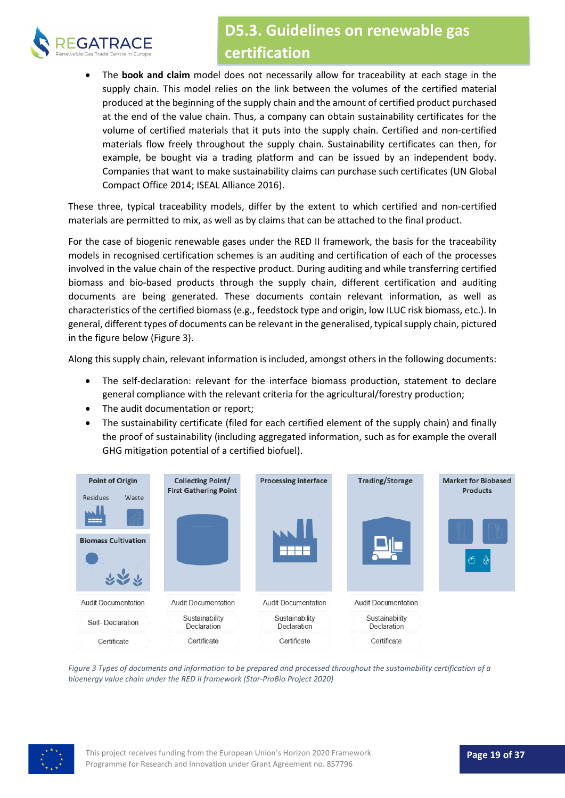

• The **book and claim** model does not necessarily allow for traceability at each stage in the supply chain. This model relies on the link between the volumes of the certified material produced at the beginning of the supply chain and the amount of certified product purchased at the end of the value chain. Thus, a company can obtain sustainability certificates for the volume of certified materials that it puts into the supply chain. Certified and non-certified materials flow freely throughout the supply chain. Sustainability certificates can then, for example, be bought via a trading platform and can be issued by an independent body. Companies that want to make sustainability claims can purchase such certificates (UN Global Compact Office 2014; ISEAL Alliance 2016).

These three, typical traceability models, differ by the extent to which certified and non-certified materials are permitted to mix, as well as by claims that can be attached to the final product.

For the case of biogenic renewable gases under the RED II framework, the basis for the traceability models in recognised certification schemes is an auditing and certification of each of the processes involved in the value chain of the respective product. During auditing and while transferring certified biomass and bio-based products through the supply chain, different certification and auditing documents are being generated. These documents contain relevant information, as well as characteristics of the certified biomass (e.g., feedstock type and origin, low ILUC risk biomass, etc.). In general, different types of documents can be relevant in the generalised, typical supply chain, pictured in the figure below [\(Figure 3\)](#page-18-0).

Along this supply chain, relevant information is included, amongst others in the following documents:

- The self-declaration: relevant for the interface biomass production, statement to declare general compliance with the relevant criteria for the agricultural/forestry production;
- The audit documentation or report;
- The sustainability certificate (filed for each certified element of the supply chain) and finally the proof of sustainability (including aggregated information, such as for example the overall GHG mitigation potential of a certified biofuel).



<span id="page-18-0"></span>*Figure 3 Types of documents and information to be prepared and processed throughout the sustainability certification of a bioenergy value chain under the RED II framework (Star-ProBio Project 2020)*

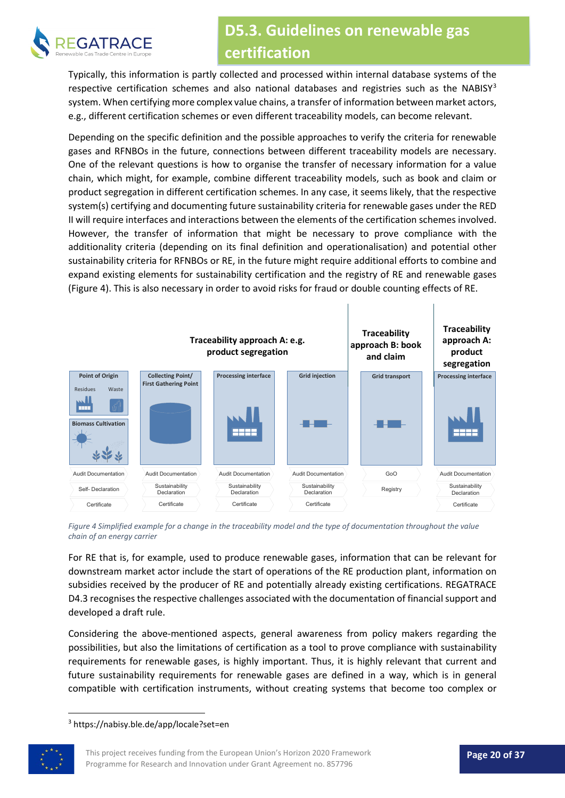

Typically, this information is partly collected and processed within internal database systems of the respective certification schemes and also national databases and registries such as the NABISY<sup>[3](#page-19-1)</sup> system. When certifying more complex value chains, a transfer of information between market actors, e.g., different certification schemes or even different traceability models, can become relevant.

Depending on the specific definition and the possible approaches to verify the criteria for renewable gases and RFNBOs in the future, connections between different traceability models are necessary. One of the relevant questions is how to organise the transfer of necessary information for a value chain, which might, for example, combine different traceability models, such as book and claim or product segregation in different certification schemes. In any case, it seems likely, that the respective system(s) certifying and documenting future sustainability criteria for renewable gases under the RED II will require interfaces and interactions between the elements of the certification schemes involved. However, the transfer of information that might be necessary to prove compliance with the additionality criteria (depending on its final definition and operationalisation) and potential other sustainability criteria for RFNBOs or RE, in the future might require additional efforts to combine and expand existing elements for sustainability certification and the registry of RE and renewable gases [\(Figure 4\)](#page-19-0). This is also necessary in order to avoid risks for fraud or double counting effects of RE.



<span id="page-19-0"></span>*Figure 4 Simplified example for a change in the traceability model and the type of documentation throughout the value chain of an energy carrier*

For RE that is, for example, used to produce renewable gases, information that can be relevant for downstream market actor include the start of operations of the RE production plant, information on subsidies received by the producer of RE and potentially already existing certifications. REGATRACE D4.3 recognises the respective challenges associated with the documentation of financial support and developed a draft rule.

Considering the above-mentioned aspects, general awareness from policy makers regarding the possibilities, but also the limitations of certification as a tool to prove compliance with sustainability requirements for renewable gases, is highly important. Thus, it is highly relevant that current and future sustainability requirements for renewable gases are defined in a way, which is in general compatible with certification instruments, without creating systems that become too complex or

<span id="page-19-1"></span><sup>3</sup> https://nabisy.ble.de/app/locale?set=en

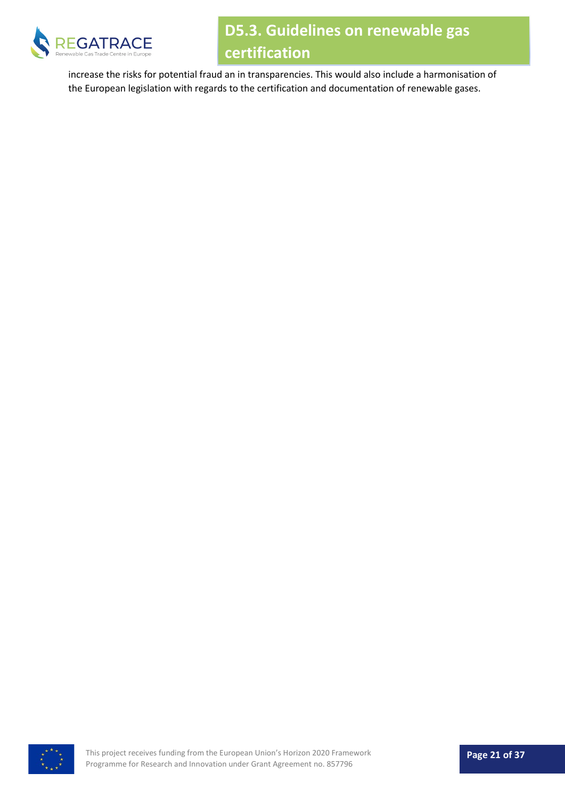

increase the risks for potential fraud an in transparencies. This would also include a harmonisation of the European legislation with regards to the certification and documentation of renewable gases.

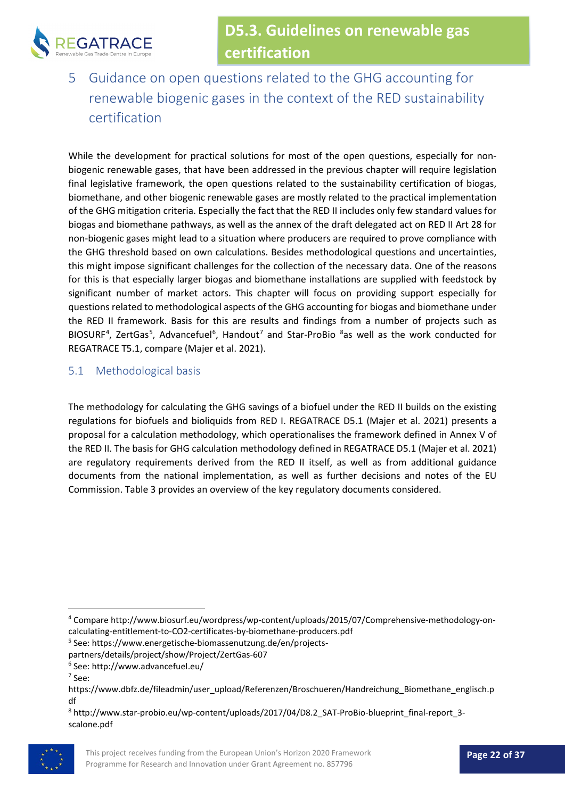

<span id="page-21-0"></span>5 Guidance on open questions related to the GHG accounting for renewable biogenic gases in the context of the RED sustainability certification

While the development for practical solutions for most of the open questions, especially for nonbiogenic renewable gases, that have been addressed in the previous chapter will require legislation final legislative framework, the open questions related to the sustainability certification of biogas, biomethane, and other biogenic renewable gases are mostly related to the practical implementation of the GHG mitigation criteria. Especially the fact that the RED II includes only few standard values for biogas and biomethane pathways, as well as the annex of the draft delegated act on RED II Art 28 for non-biogenic gases might lead to a situation where producers are required to prove compliance with the GHG threshold based on own calculations. Besides methodological questions and uncertainties, this might impose significant challenges for the collection of the necessary data. One of the reasons for this is that especially larger biogas and biomethane installations are supplied with feedstock by significant number of market actors. This chapter will focus on providing support especially for questions related to methodological aspects of the GHG accounting for biogas and biomethane under the RED II framework. Basis for this are results and findings from a number of projects such as BIOSURF<sup>[4](#page-21-2)</sup>, ZertGas<sup>[5](#page-21-3)</sup>, Advancefuel<sup>[6](#page-21-4)</sup>, Handout<sup>[7](#page-21-5)</sup> and Star-ProBio  $8a$  $8a$ s well as the work conducted for REGATRACE T5.1, compare (Majer et al. 2021).

#### <span id="page-21-1"></span>5.1 Methodological basis

The methodology for calculating the GHG savings of a biofuel under the RED II builds on the existing regulations for biofuels and bioliquids from RED I. REGATRACE D5.1 (Majer et al. 2021) presents a proposal for a calculation methodology, which operationalises the framework defined in Annex V of the RED II. The basis for GHG calculation methodology defined in REGATRACE D5.1 (Majer et al. 2021) are regulatory requirements derived from the RED II itself, as well as from additional guidance documents from the national implementation, as well as further decisions and notes of the EU Commission[. Table 3](#page-22-0) provides an overview of the key regulatory documents considered.

- <span id="page-21-3"></span><sup>5</sup> See: https://www.energetische-biomassenutzung.de/en/projects-
- partners/details/project/show/Project/ZertGas-607
- <sup>6</sup> See: http://www.advancefuel.eu/
- <sup>7</sup> See:

<span id="page-21-6"></span><span id="page-21-5"></span><span id="page-21-4"></span><sup>8</sup> http://www.star-probio.eu/wp-content/uploads/2017/04/D8.2\_SAT-ProBio-blueprint\_final-report\_3 scalone.pdf



<span id="page-21-2"></span><sup>4</sup> Compare http://www.biosurf.eu/wordpress/wp-content/uploads/2015/07/Comprehensive-methodology-oncalculating-entitlement-to-CO2-certificates-by-biomethane-producers.pdf

https://www.dbfz.de/fileadmin/user\_upload/Referenzen/Broschueren/Handreichung\_Biomethane\_englisch.p df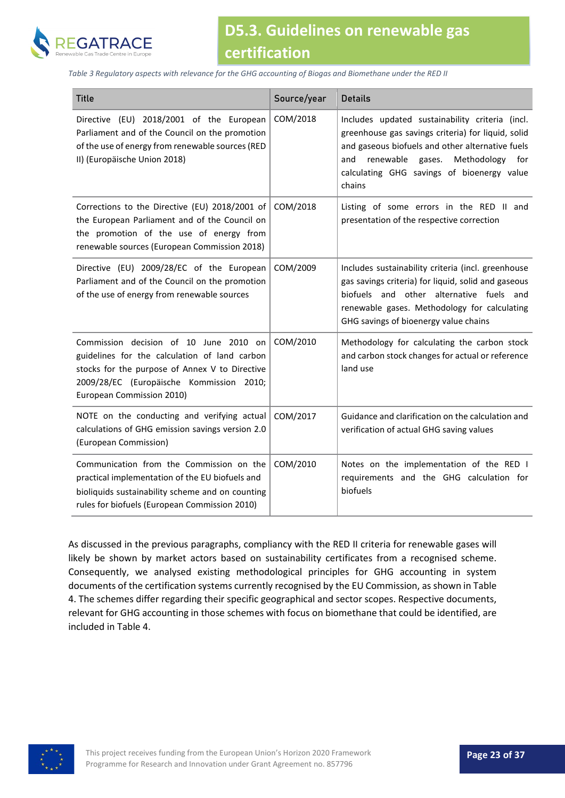

<span id="page-22-0"></span>*Table 3 Regulatory aspects with relevance for the GHG accounting of Biogas and Biomethane under the RED II*

| <b>Title</b>                                                                                                                                                                                                       | Source/year | <b>Details</b>                                                                                                                                                                                                                                                        |
|--------------------------------------------------------------------------------------------------------------------------------------------------------------------------------------------------------------------|-------------|-----------------------------------------------------------------------------------------------------------------------------------------------------------------------------------------------------------------------------------------------------------------------|
| Directive (EU) 2018/2001 of the European<br>Parliament and of the Council on the promotion<br>of the use of energy from renewable sources (RED<br>II) (Europäische Union 2018)                                     | COM/2018    | Includes updated sustainability criteria (incl.<br>greenhouse gas savings criteria) for liquid, solid<br>and gaseous biofuels and other alternative fuels<br>Methodology<br>renewable<br>and<br>gases.<br>for<br>calculating GHG savings of bioenergy value<br>chains |
| Corrections to the Directive (EU) 2018/2001 of<br>the European Parliament and of the Council on<br>the promotion of the use of energy from<br>renewable sources (European Commission 2018)                         | COM/2018    | Listing of some errors in the RED II and<br>presentation of the respective correction                                                                                                                                                                                 |
| Directive (EU) 2009/28/EC of the European<br>Parliament and of the Council on the promotion<br>of the use of energy from renewable sources                                                                         | COM/2009    | Includes sustainability criteria (incl. greenhouse<br>gas savings criteria) for liquid, solid and gaseous<br>biofuels and other alternative fuels and<br>renewable gases. Methodology for calculating<br>GHG savings of bioenergy value chains                        |
| Commission decision of 10 June 2010 on<br>guidelines for the calculation of land carbon<br>stocks for the purpose of Annex V to Directive<br>2009/28/EC (Europäische Kommission 2010;<br>European Commission 2010) | COM/2010    | Methodology for calculating the carbon stock<br>and carbon stock changes for actual or reference<br>land use                                                                                                                                                          |
| NOTE on the conducting and verifying actual<br>calculations of GHG emission savings version 2.0<br>(European Commission)                                                                                           | COM/2017    | Guidance and clarification on the calculation and<br>verification of actual GHG saving values                                                                                                                                                                         |
| Communication from the Commission on the<br>practical implementation of the EU biofuels and<br>bioliquids sustainability scheme and on counting<br>rules for biofuels (European Commission 2010)                   | COM/2010    | Notes on the implementation of the RED I<br>requirements and the GHG calculation for<br>biofuels                                                                                                                                                                      |

As discussed in the previous paragraphs, compliancy with the RED II criteria for renewable gases will likely be shown by market actors based on sustainability certificates from a recognised scheme. Consequently, we analysed existing methodological principles for GHG accounting in system documents of the certification systems currently recognised by the EU Commission, as shown in [Table](#page-23-0)  [4.](#page-23-0) The schemes differ regarding their specific geographical and sector scopes. Respective documents, relevant for GHG accounting in those schemes with focus on biomethane that could be identified, are included i[n Table 4.](#page-23-0)

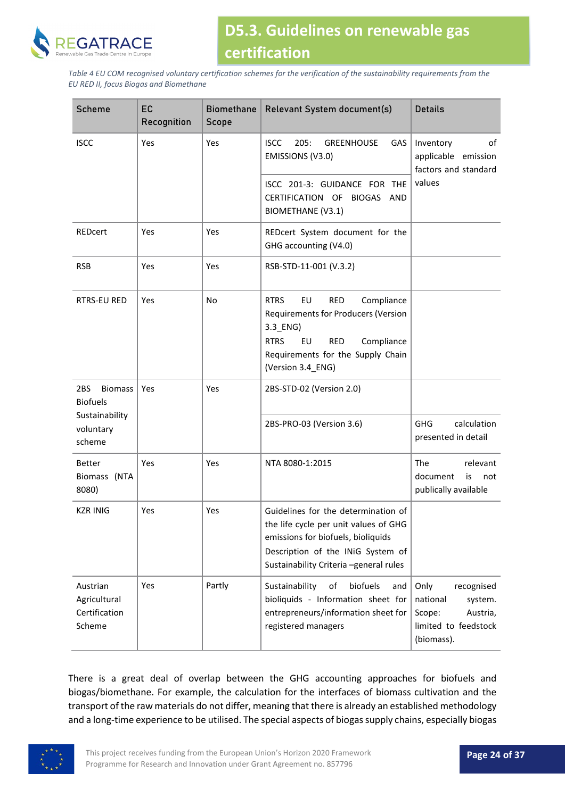

<span id="page-23-0"></span>*Table 4 EU COM recognised voluntary certification schemes for the verification of the sustainability requirements from the EU RED II, focus Biogas and Biomethane*

| Scheme                                              | EC<br>Recognition | <b>Biomethane</b><br>Scope | Relevant System document(s)                                                                                                                                                                                        | <b>Details</b>                                                                                        |  |
|-----------------------------------------------------|-------------------|----------------------------|--------------------------------------------------------------------------------------------------------------------------------------------------------------------------------------------------------------------|-------------------------------------------------------------------------------------------------------|--|
| <b>ISCC</b>                                         | Yes               | Yes                        | 205:<br><b>ISCC</b><br><b>GREENHOUSE</b><br><b>GAS</b><br>EMISSIONS (V3.0)                                                                                                                                         | Inventory<br>οf<br>applicable emission<br>factors and standard                                        |  |
|                                                     |                   |                            | ISCC 201-3: GUIDANCE FOR THE<br>CERTIFICATION OF BIOGAS AND<br><b>BIOMETHANE (V3.1)</b>                                                                                                                            | values                                                                                                |  |
| <b>REDcert</b>                                      | Yes               | Yes                        | REDcert System document for the<br>GHG accounting (V4.0)                                                                                                                                                           |                                                                                                       |  |
| <b>RSB</b>                                          | Yes               | Yes                        | RSB-STD-11-001 (V.3.2)                                                                                                                                                                                             |                                                                                                       |  |
| <b>RTRS-EU RED</b>                                  | Yes               | No                         | <b>RTRS</b><br>EU<br><b>RED</b><br>Compliance<br><b>Requirements for Producers (Version</b><br>3.3_ENG)<br>Compliance<br><b>RTRS</b><br>EU<br><b>RED</b><br>Requirements for the Supply Chain<br>(Version 3.4_ENG) |                                                                                                       |  |
| 2BS<br><b>Biomass</b><br><b>Biofuels</b>            | Yes               | Yes                        | 2BS-STD-02 (Version 2.0)                                                                                                                                                                                           |                                                                                                       |  |
| Sustainability<br>voluntary<br>scheme               |                   |                            | 2BS-PRO-03 (Version 3.6)                                                                                                                                                                                           | <b>GHG</b><br>calculation<br>presented in detail                                                      |  |
| <b>Better</b><br>Biomass (NTA<br>8080)              | Yes               | Yes                        | NTA 8080-1:2015                                                                                                                                                                                                    | The<br>relevant<br>document<br>is<br>not<br>publically available                                      |  |
| <b>KZR INIG</b>                                     | Yes               | Yes                        | Guidelines for the determination of<br>the life cycle per unit values of GHG<br>emissions for biofuels, bioliquids<br>Description of the INiG System of<br>Sustainability Criteria -general rules                  |                                                                                                       |  |
| Austrian<br>Agricultural<br>Certification<br>Scheme | Yes               | Partly                     | Sustainability<br>of<br>biofuels<br>and<br>bioliquids - Information sheet for<br>entrepreneurs/information sheet for<br>registered managers                                                                        | Only<br>recognised<br>national<br>system.<br>Scope:<br>Austria,<br>limited to feedstock<br>(biomass). |  |

There is a great deal of overlap between the GHG accounting approaches for biofuels and biogas/biomethane. For example, the calculation for the interfaces of biomass cultivation and the transport of the raw materials do not differ, meaning that there is already an established methodology and a long-time experience to be utilised. The special aspects of biogas supply chains, especially biogas

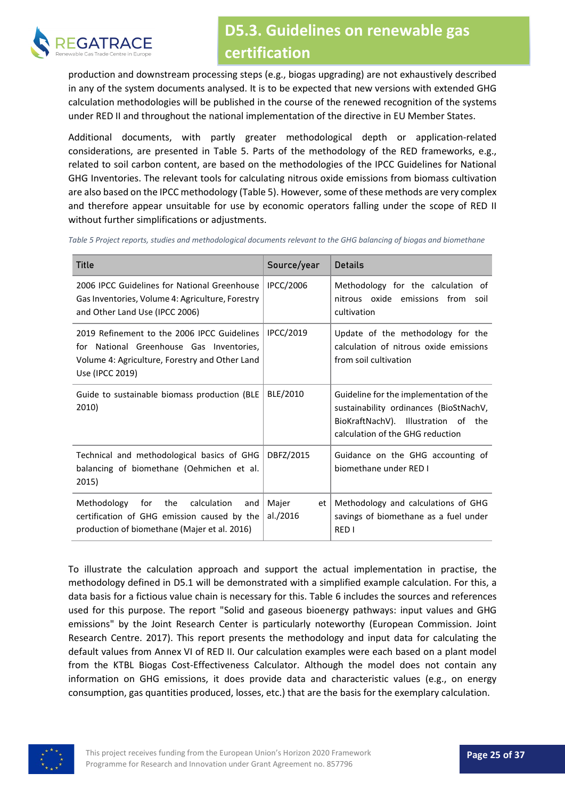

production and downstream processing steps (e.g., biogas upgrading) are not exhaustively described in any of the system documents analysed. It is to be expected that new versions with extended GHG calculation methodologies will be published in the course of the renewed recognition of the systems under RED II and throughout the national implementation of the directive in EU Member States.

Additional documents, with partly greater methodological depth or application-related considerations, are presented in [Table 5.](#page-24-0) Parts of the methodology of the RED frameworks, e.g., related to soil carbon content, are based on the methodologies of the IPCC Guidelines for National GHG Inventories. The relevant tools for calculating nitrous oxide emissions from biomass cultivation are also based on the IPCC methodology [\(Table 5\)](#page-24-0). However, some of these methods are very complex and therefore appear unsuitable for use by economic operators falling under the scope of RED II without further simplifications or adjustments.

| <b>Title</b>                                                                                                                                                 | Source/year             | <b>Details</b>                                                                                                                                               |
|--------------------------------------------------------------------------------------------------------------------------------------------------------------|-------------------------|--------------------------------------------------------------------------------------------------------------------------------------------------------------|
| 2006 IPCC Guidelines for National Greenhouse<br>Gas Inventories, Volume 4: Agriculture, Forestry<br>and Other Land Use (IPCC 2006)                           | <b>IPCC/2006</b>        | Methodology for the calculation of<br>nitrous oxide emissions from soil<br>cultivation                                                                       |
| 2019 Refinement to the 2006 IPCC Guidelines<br>for National Greenhouse Gas Inventories,<br>Volume 4: Agriculture, Forestry and Other Land<br>Use (IPCC 2019) | <b>IPCC/2019</b>        | Update of the methodology for the<br>calculation of nitrous oxide emissions<br>from soil cultivation                                                         |
| Guide to sustainable biomass production (BLE<br>2010)                                                                                                        | BLE/2010                | Guideline for the implementation of the<br>sustainability ordinances (BioStNachV,<br>BioKraftNachV). Illustration of the<br>calculation of the GHG reduction |
| Technical and methodological basics of GHG<br>balancing of biomethane (Oehmichen et al.<br>2015)                                                             | DBFZ/2015               | Guidance on the GHG accounting of<br>biomethane under RED I                                                                                                  |
| calculation<br>Methodology<br>for<br>the<br>and<br>certification of GHG emission caused by the<br>production of biomethane (Majer et al. 2016)               | Majer<br>et<br>al./2016 | Methodology and calculations of GHG<br>savings of biomethane as a fuel under<br>RED I                                                                        |

<span id="page-24-0"></span>*Table 5 Project reports, studies and methodological documents relevant to the GHG balancing of biogas and biomethane*

To illustrate the calculation approach and support the actual implementation in practise, the methodology defined in D5.1 will be demonstrated with a simplified example calculation. For this, a data basis for a fictious value chain is necessary for this. [Table 6](#page-25-0) includes the sources and references used for this purpose. The report "Solid and gaseous bioenergy pathways: input values and GHG emissions" by the Joint Research Center is particularly noteworthy (European Commission. Joint Research Centre. 2017). This report presents the methodology and input data for calculating the default values from Annex VI of RED II. Our calculation examples were each based on a plant model from the KTBL Biogas Cost-Effectiveness Calculator. Although the model does not contain any information on GHG emissions, it does provide data and characteristic values (e.g., on energy consumption, gas quantities produced, losses, etc.) that are the basis for the exemplary calculation.

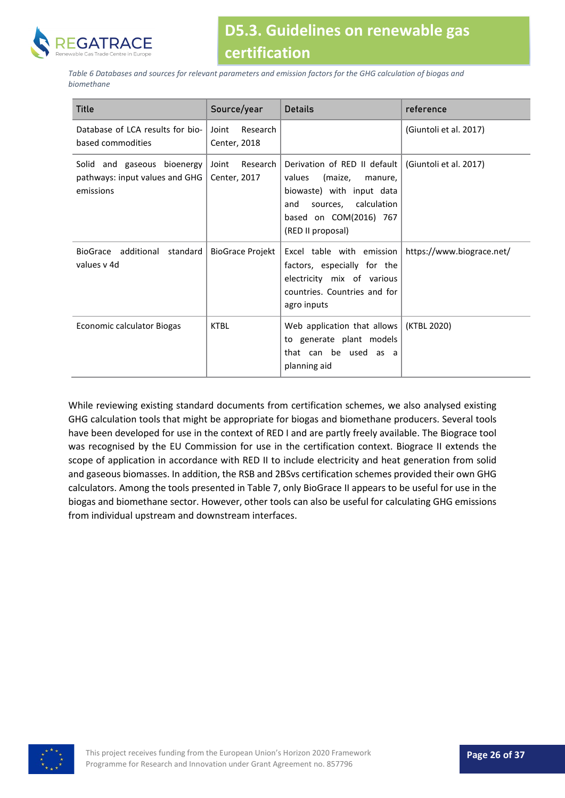

<span id="page-25-0"></span>*Table 6 Databases and sources for relevant parameters and emission factors for the GHG calculation of biogas and biomethane*

| <b>Title</b>                                                               | Source/year                       | Details                                                                                                                                                                 | reference                 |
|----------------------------------------------------------------------------|-----------------------------------|-------------------------------------------------------------------------------------------------------------------------------------------------------------------------|---------------------------|
| Database of LCA results for bio-<br>based commodities                      | Joint<br>Research<br>Center, 2018 |                                                                                                                                                                         | (Giuntoli et al. 2017)    |
| Solid and gaseous bioenergy<br>pathways: input values and GHG<br>emissions | Joint<br>Research<br>Center, 2017 | Derivation of RED II default<br>(maize,<br>values<br>manure,<br>biowaste) with input data<br>sources, calculation<br>and<br>based on COM(2016) 767<br>(RED II proposal) | (Giuntoli et al. 2017)    |
| additional<br>standard<br><b>BioGrace</b><br>values y 4d                   | <b>BioGrace Projekt</b>           | Excel table with emission<br>factors, especially for the<br>electricity mix of various<br>countries. Countries and for<br>agro inputs                                   | https://www.biograce.net/ |
| Economic calculator Biogas                                                 | <b>KTBL</b>                       | Web application that allows $ $ (KTBL 2020)<br>to generate plant models<br>that can be used as a<br>planning aid                                                        |                           |

While reviewing existing standard documents from certification schemes, we also analysed existing GHG calculation tools that might be appropriate for biogas and biomethane producers. Several tools have been developed for use in the context of RED I and are partly freely available. The Biograce tool was recognised by the EU Commission for use in the certification context. Biograce II extends the scope of application in accordance with RED II to include electricity and heat generation from solid and gaseous biomasses. In addition, the RSB and 2BSvs certification schemes provided their own GHG calculators. Among the tools presented i[n Table 7,](#page-26-0) only BioGrace II appears to be useful for use in the biogas and biomethane sector. However, other tools can also be useful for calculating GHG emissions from individual upstream and downstream interfaces.

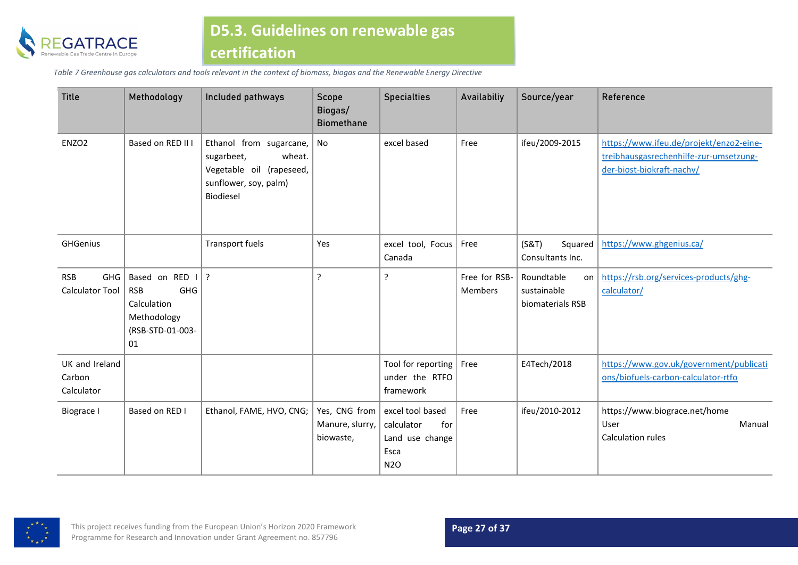

*Table 7 Greenhouse gas calculators and tools relevant in the context of biomass, biogas and the Renewable Energy Directive*

<span id="page-26-0"></span>

| <b>Title</b>                                       | Methodology                                                                                        | Included pathways                                                                                                 | Scope<br>Biogas/<br><b>Biomethane</b> | <b>Specialties</b>                                                                           | Availabiliy              | Source/year                                         | Reference                                                                                                      |
|----------------------------------------------------|----------------------------------------------------------------------------------------------------|-------------------------------------------------------------------------------------------------------------------|---------------------------------------|----------------------------------------------------------------------------------------------|--------------------------|-----------------------------------------------------|----------------------------------------------------------------------------------------------------------------|
| ENZO <sub>2</sub>                                  | Based on RED II I                                                                                  | Ethanol from sugarcane,<br>sugarbeet,<br>wheat.<br>Vegetable oil (rapeseed,<br>sunflower, soy, palm)<br>Biodiesel | No                                    | excel based                                                                                  | Free                     | ifeu/2009-2015                                      | https://www.ifeu.de/projekt/enzo2-eine-<br>treibhausgasrechenhilfe-zur-umsetzung-<br>der-biost-biokraft-nachv/ |
| <b>GHGenius</b>                                    |                                                                                                    | <b>Transport fuels</b>                                                                                            | Yes                                   | excel tool, Focus<br>Canada                                                                  | Free                     | (S&T)<br>Squared<br>Consultants Inc.                | https://www.ghgenius.ca/                                                                                       |
| <b>RSB</b><br><b>GHG</b><br><b>Calculator Tool</b> | Based on RED I<br><b>GHG</b><br><b>RSB</b><br>Calculation<br>Methodology<br>(RSB-STD-01-003-<br>01 | $\cdot$                                                                                                           | ?                                     | ?                                                                                            | Free for RSB-<br>Members | Roundtable<br>on<br>sustainable<br>biomaterials RSB | https://rsb.org/services-products/ghg-<br>calculator/                                                          |
| UK and Ireland<br>Carbon<br>Calculator             |                                                                                                    |                                                                                                                   |                                       | Tool for reporting<br>under the RTFO<br>framework                                            | Free                     | E4Tech/2018                                         | https://www.gov.uk/government/publicati<br>ons/biofuels-carbon-calculator-rtfo                                 |
| Biograce I                                         | Based on RED I                                                                                     | Ethanol, FAME, HVO, CNG;                                                                                          | Manure, slurry,<br>biowaste,          | Yes, CNG from excel tool based<br>calculator<br>for<br>Land use change<br>Esca<br><b>N2O</b> | Free                     | ifeu/2010-2012                                      | https://www.biograce.net/home<br>User<br>Manual<br>Calculation rules                                           |

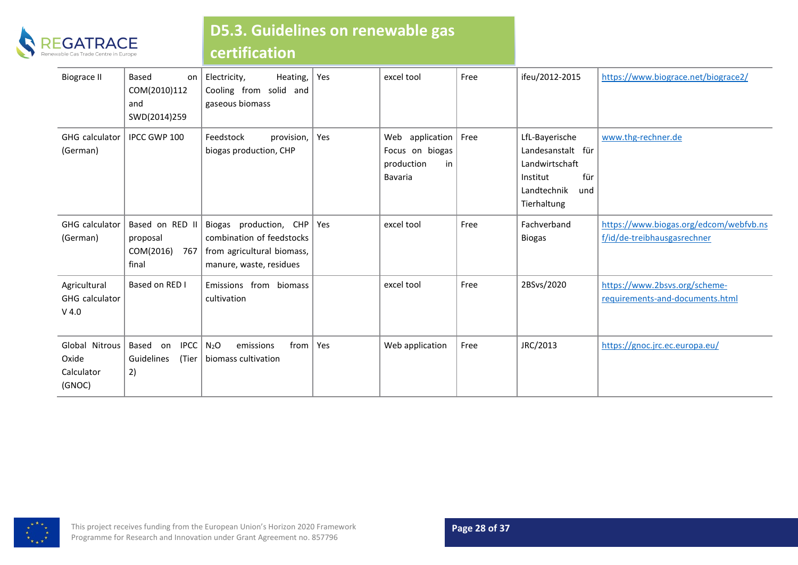

## **D5.3. Guidelines on renewable gas**

## **certification**

| <b>Biograce II</b>                               | Based<br>on<br>COM(2010)112<br>and<br>SWD(2014)259       | Heating,<br>Electricity,<br>Cooling from solid and<br>gaseous biomass                                        | Yes   | excel tool                                                        | Free | ifeu/2012-2015                                                                                                | https://www.biograce.net/biograce2/                                   |
|--------------------------------------------------|----------------------------------------------------------|--------------------------------------------------------------------------------------------------------------|-------|-------------------------------------------------------------------|------|---------------------------------------------------------------------------------------------------------------|-----------------------------------------------------------------------|
| GHG calculator<br>(German)                       | IPCC GWP 100                                             | Feedstock<br>provision,<br>biogas production, CHP                                                            | Yes   | Web application<br>Focus on biogas<br>production<br>in<br>Bavaria | Free | LfL-Bayerische<br>Landesanstalt für<br>Landwirtschaft<br>für<br>Institut<br>Landtechnik<br>und<br>Tierhaltung | www.thg-rechner.de                                                    |
| GHG calculator<br>(German)                       | Based on RED II<br>proposal<br>COM(2016)<br>767<br>final | Biogas production, CHP<br>combination of feedstocks<br>from agricultural biomass,<br>manure, waste, residues | l Yes | excel tool                                                        | Free | Fachverband<br><b>Biogas</b>                                                                                  | https://www.biogas.org/edcom/webfvb.ns<br>f/id/de-treibhausgasrechner |
| Agricultural<br><b>GHG</b> calculator<br>$V$ 4.0 | Based on RED I                                           | Emissions from biomass<br>cultivation                                                                        |       | excel tool                                                        | Free | 2BSvs/2020                                                                                                    | https://www.2bsvs.org/scheme-<br>requirements-and-documents.html      |
| Global Nitrous<br>Oxide<br>Calculator<br>(GNOC)  | Based<br><b>IPCC</b><br>on<br>Guidelines<br>(Tier<br>2)  | N <sub>2</sub> O<br>from<br>emissions<br>biomass cultivation                                                 | l Yes | Web application                                                   | Free | JRC/2013                                                                                                      | https://gnoc.jrc.ec.europa.eu/                                        |

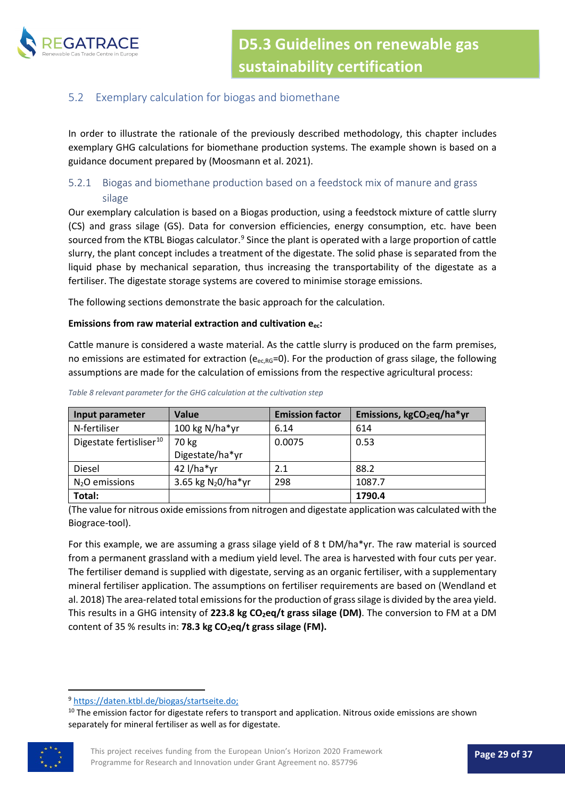

#### <span id="page-28-0"></span>5.2 Exemplary calculation for biogas and biomethane

In order to illustrate the rationale of the previously described methodology, this chapter includes exemplary GHG calculations for biomethane production systems. The example shown is based on a guidance document prepared by (Moosmann et al. 2021).

#### <span id="page-28-1"></span>5.2.1 Biogas and biomethane production based on a feedstock mix of manure and grass silage

Our exemplary calculation is based on a Biogas production, using a feedstock mixture of cattle slurry (CS) and grass silage (GS). Data for conversion efficiencies, energy consumption, etc. have been sourced from the KTBL Biogas calculator.<sup>[9](#page-28-2)</sup> Since the plant is operated with a large proportion of cattle slurry, the plant concept includes a treatment of the digestate. The solid phase is separated from the liquid phase by mechanical separation, thus increasing the transportability of the digestate as a fertiliser. The digestate storage systems are covered to minimise storage emissions.

The following sections demonstrate the basic approach for the calculation.

#### **Emissions from raw material extraction and cultivation eec:**

Cattle manure is considered a waste material. As the cattle slurry is produced on the farm premises, no emissions are estimated for extraction ( $e_{ec,RG}=0$ ). For the production of grass silage, the following assumptions are made for the calculation of emissions from the respective agricultural process:

| Input parameter                     | <b>Value</b>         | <b>Emission factor</b> | Emissions, kgCO <sub>2</sub> eq/ha*yr |
|-------------------------------------|----------------------|------------------------|---------------------------------------|
| N-fertiliser                        | 100 kg N/ha*yr       | 6.14                   | 614                                   |
| Digestate fertisliser <sup>10</sup> | 70 kg                | 0.0075                 | 0.53                                  |
|                                     | Digestate/ha*yr      |                        |                                       |
| Diesel                              | 42 l/ha*yr           | 2.1                    | 88.2                                  |
| $N2O$ emissions                     | 3.65 kg $N_2O/ha*yr$ | 298                    | 1087.7                                |
| Total:                              |                      |                        | 1790.4                                |

#### *Table 8 relevant parameter for the GHG calculation at the cultivation step*

(The value for nitrous oxide emissions from nitrogen and digestate application was calculated with the Biograce-tool).

For this example, we are assuming a grass silage yield of 8 t DM/ha\*yr. The raw material is sourced from a permanent grassland with a medium yield level. The area is harvested with four cuts per year. The fertiliser demand is supplied with digestate, serving as an organic fertiliser, with a supplementary mineral fertiliser application. The assumptions on fertiliser requirements are based on (Wendland et al. 2018) The area-related total emissions for the production of grass silage is divided by the area yield. This results in a GHG intensity of 223.8 kg CO<sub>2</sub>eq/t grass silage (DM). The conversion to FM at a DM content of 35 % results in: **78.3 kg CO<sub>2</sub>eq/t grass silage (FM).** 

<span id="page-28-3"></span><span id="page-28-2"></span><sup>&</sup>lt;sup>10</sup> The emission factor for digestate refers to transport and application. Nitrous oxide emissions are shown separately for mineral fertiliser as well as for digestate.



<sup>9</sup> <https://daten.ktbl.de/biogas/startseite.do;>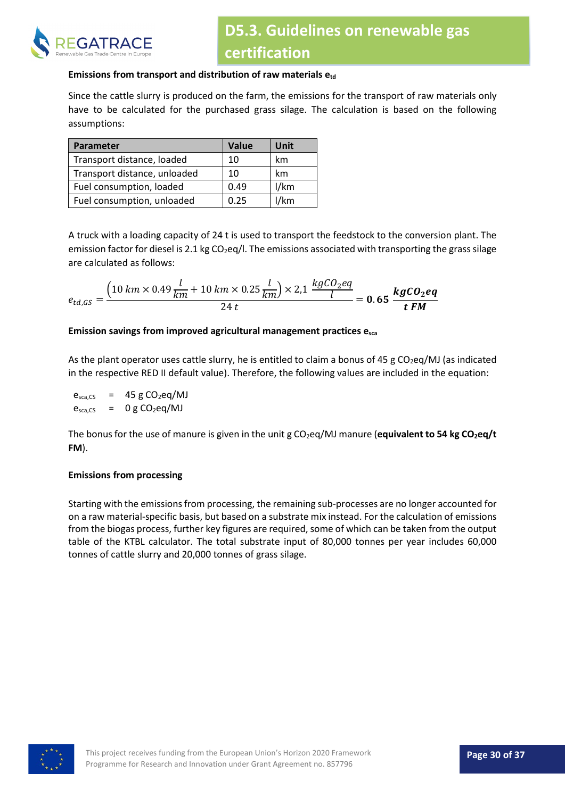

#### **Emissions from transport and distribution of raw materials etd**

Since the cattle slurry is produced on the farm, the emissions for the transport of raw materials only have to be calculated for the purchased grass silage. The calculation is based on the following assumptions:

| Parameter                    | Value | Unit |
|------------------------------|-------|------|
| Transport distance, loaded   | 10    | km   |
| Transport distance, unloaded | 10    | km   |
| Fuel consumption, loaded     | 0.49  | 1/km |
| Fuel consumption, unloaded   | 0.25  | /km  |

A truck with a loading capacity of 24 t is used to transport the feedstock to the conversion plant. The emission factor for diesel is 2.1 kg  $CO<sub>2</sub>$ eg/l. The emissions associated with transporting the grass silage are calculated as follows:

$$
e_{td,GS} = \frac{\left(10 \text{ km} \times 0.49 \frac{l}{km} + 10 \text{ km} \times 0.25 \frac{l}{km}\right) \times 2.1 \frac{\text{kgCO}_2\text{eq}}{l}}{24 \text{ t}} = 0.65 \frac{\text{kgCO}_2\text{eq}}{\text{t FM}}
$$

#### **Emission savings from improved agricultural management practices esca**

As the plant operator uses cattle slurry, he is entitled to claim a bonus of 45 g  $CO<sub>2</sub>eq/MI$  (as indicated in the respective RED II default value). Therefore, the following values are included in the equation:

 $e_{\text{sea.CS}}$  = 45 g CO<sub>2</sub>eq/MJ  $e_{sca,CS}$  = 0 g CO<sub>2</sub>eq/MJ

The bonus for the use of manure is given in the unit g CO<sub>2</sub>eq/MJ manure (**equivalent to 54 kg CO<sub>2</sub>eq/t FM**).

#### **Emissions from processing**

Starting with the emissions from processing, the remaining sub-processes are no longer accounted for on a raw material-specific basis, but based on a substrate mix instead. For the calculation of emissions from the biogas process, further key figures are required, some of which can be taken from the output table of the KTBL calculator. The total substrate input of 80,000 tonnes per year includes 60,000 tonnes of cattle slurry and 20,000 tonnes of grass silage.

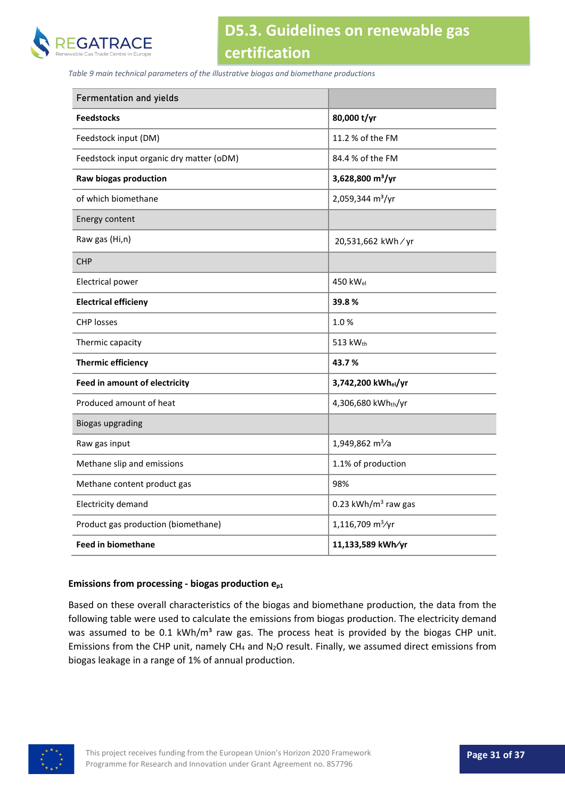

*Table 9 main technical parameters of the illustrative biogas and biomethane productions*

| <b>Fermentation and yields</b>           |                              |  |
|------------------------------------------|------------------------------|--|
| <b>Feedstocks</b>                        | 80,000 t/yr                  |  |
| Feedstock input (DM)                     | 11.2 % of the FM             |  |
| Feedstock input organic dry matter (oDM) | 84.4 % of the FM             |  |
| Raw biogas production                    | 3,628,800 m <sup>3</sup> /yr |  |
| of which biomethane                      | 2,059,344 m <sup>3</sup> /yr |  |
| Energy content                           |                              |  |
| Raw gas (Hi,n)                           | 20,531,662 kWh / yr          |  |
| <b>CHP</b>                               |                              |  |
| Electrical power                         | 450 kW <sub>el</sub>         |  |
| <b>Electrical efficieny</b>              | 39.8%                        |  |
| <b>CHP losses</b>                        | 1.0%                         |  |
| Thermic capacity                         | 513 kWth                     |  |
| <b>Thermic efficiency</b>                | 43.7%                        |  |
| <b>Feed in amount of electricity</b>     | 3,742,200 kWhel/yr           |  |
| Produced amount of heat                  | 4,306,680 kWhth/yr           |  |
| <b>Biogas upgrading</b>                  |                              |  |
| Raw gas input                            | 1,949,862 m <sup>3</sup> /a  |  |
| Methane slip and emissions               | 1.1% of production           |  |
| Methane content product gas              | 98%                          |  |
| Electricity demand                       | 0.23 kWh/ $m3$ raw gas       |  |
| Product gas production (biomethane)      | 1,116,709 m <sup>3</sup> /yr |  |
| <b>Feed in biomethane</b>                | 11,133,589 kWh/yr            |  |

#### **Emissions from processing - biogas production ep1**

Based on these overall characteristics of the biogas and biomethane production, the data from the following table were used to calculate the emissions from biogas production. The electricity demand was assumed to be 0.1 kWh/m<sup>3</sup> raw gas. The process heat is provided by the biogas CHP unit. Emissions from the CHP unit, namely CH4 and N2O result. Finally, we assumed direct emissions from biogas leakage in a range of 1% of annual production.

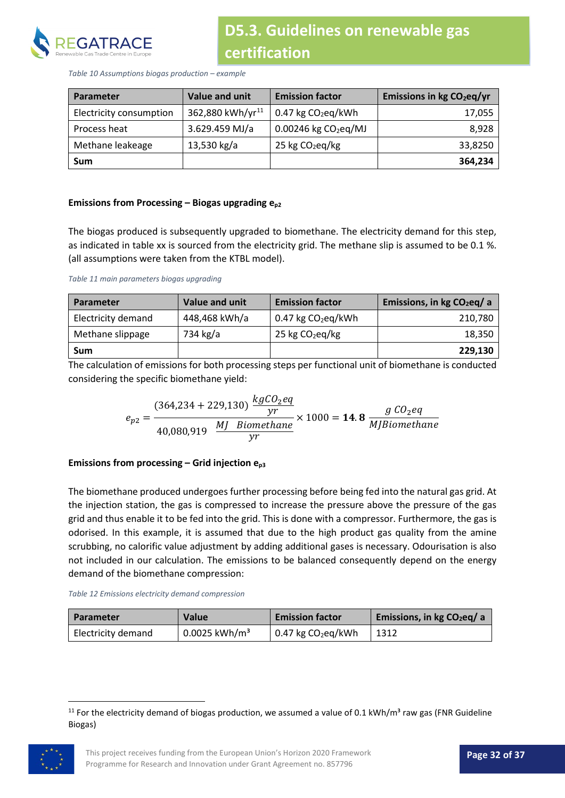

*Table 10 Assumptions biogas production – example* 

| <b>Parameter</b>        | Value and unit               | <b>Emission factor</b>      | Emissions in kg CO <sub>2</sub> eq/yr |
|-------------------------|------------------------------|-----------------------------|---------------------------------------|
| Electricity consumption | 362,880 kWh/yr <sup>11</sup> | $0.47$ kg $CO2$ eg/kWh      | 17,055                                |
| Process heat            | 3.629.459 MJ/a               | $0.00246$ kg $CO2$ eq/MJ    | 8,928                                 |
| Methane leakeage        | 13,530 kg/a                  | 25 kg CO <sub>2</sub> eq/kg | 33,8250                               |
| Sum                     |                              |                             | 364,234                               |

#### Emissions from Processing – Biogas upgrading e<sub>p2</sub>

The biogas produced is subsequently upgraded to biomethane. The electricity demand for this step, as indicated in table xx is sourced from the electricity grid. The methane slip is assumed to be 0.1 %. (all assumptions were taken from the KTBL model).

*Table 11 main parameters biogas upgrading* 

| <b>Parameter</b>   | Value and unit | <b>Emission factor</b>           | Emissions, in $kg CO2eq/ a$ |
|--------------------|----------------|----------------------------------|-----------------------------|
| Electricity demand | 448,468 kWh/a  | $0.47$ kg CO <sub>2</sub> eq/kWh | 210,780                     |
| Methane slippage   | 734 kg/a       | 25 kg CO <sub>2</sub> eq/kg      | 18,350                      |
| Sum                |                |                                  | 229,130                     |

The calculation of emissions for both processing steps per functional unit of biomethane is conducted considering the specific biomethane yield:

$$
e_{p2} = \frac{(364,234 + 229,130) \frac{kgCO_2eq}{yr}}{40,080,919 \frac{MJ. Biomethane}{yr}} \times 1000 = 14.8 \frac{g CO_2eq}{MJBiomethane}
$$

#### **Emissions from processing – Grid injection ep3**

The biomethane produced undergoes further processing before being fed into the natural gas grid. At the injection station, the gas is compressed to increase the pressure above the pressure of the gas grid and thus enable it to be fed into the grid. This is done with a compressor. Furthermore, the gas is odorised. In this example, it is assumed that due to the high product gas quality from the amine scrubbing, no calorific value adjustment by adding additional gases is necessary. Odourisation is also not included in our calculation. The emissions to be balanced consequently depend on the energy demand of the biomethane compression:

#### *Table 12 Emissions electricity demand compression*

| <b>Parameter</b>   | <b>Value</b>                | <b>Emission factor</b> | Emissions, in kg $CO2$ eq/ a |
|--------------------|-----------------------------|------------------------|------------------------------|
| Electricity demand | $0.0025$ kWh/m <sup>3</sup> | $0.47$ kg $CO2$ eq/kWh | 1312                         |

<span id="page-31-0"></span><sup>&</sup>lt;sup>11</sup> For the electricity demand of biogas production, we assumed a value of 0.1 kWh/m<sup>3</sup> raw gas (FNR Guideline Biogas)

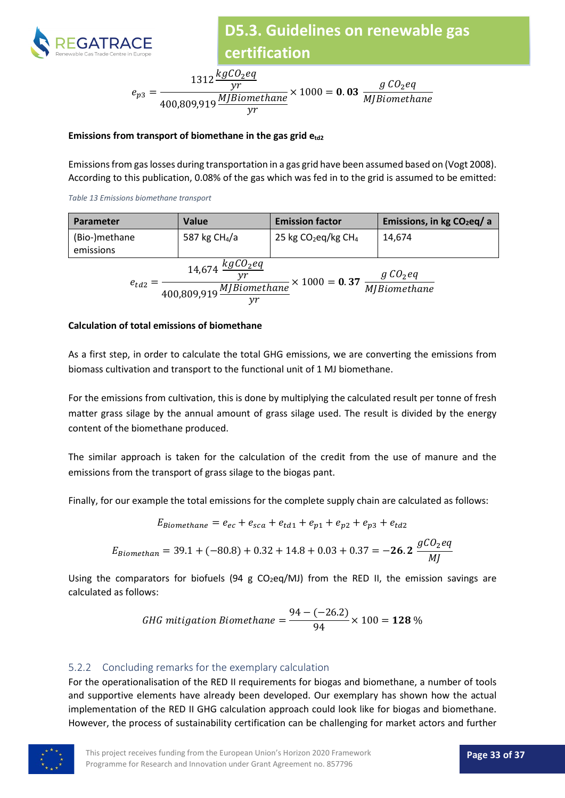

$$
e_{p3} = \frac{1312 \frac{kgCO_2eq}{yr}}{400,809,919 \frac{MJBiomethane}{yr}} \times 1000 = \textbf{0.03} \frac{g\ CO_2eq}{MJBiomethane}
$$

#### Emissions from transport of biomethane in the gas grid  $e_{td2}$

Emissions from gas losses during transportation in a gas grid have been assumed based on (Vogt 2008). According to this publication, 0.08% of the gas which was fed in to the grid is assumed to be emitted:

*Table 13 Emissions biomethane transport*

| <b>Parameter</b>                                     | <b>Value</b>                      | <b>Emission factor</b>            | Emissions, in $kg CO2eq/ a$ |
|------------------------------------------------------|-----------------------------------|-----------------------------------|-----------------------------|
| (Bio-)methane<br>emissions                           | 587 kg CH <sub>4</sub> /a         | 25 kg $CO2$ eq/kg CH <sub>4</sub> | 14,674                      |
| $e_{td2}$<br>$400,809,919$ $\overline{MJBiomethane}$ | $\frac{g\ CO_2 eq}{MJBiomethane}$ |                                   |                             |

#### **Calculation of total emissions of biomethane**

As a first step, in order to calculate the total GHG emissions, we are converting the emissions from biomass cultivation and transport to the functional unit of 1 MJ biomethane.

For the emissions from cultivation, this is done by multiplying the calculated result per tonne of fresh matter grass silage by the annual amount of grass silage used. The result is divided by the energy content of the biomethane produced.

The similar approach is taken for the calculation of the credit from the use of manure and the emissions from the transport of grass silage to the biogas pant.

Finally, for our example the total emissions for the complete supply chain are calculated as follows:

$$
E_{Biomethane} = e_{ec} + e_{sca} + e_{td1} + e_{p1} + e_{p2} + e_{p3} + e_{td2}
$$
  

$$
E_{Biomethan} = 39.1 + (-80.8) + 0.32 + 14.8 + 0.03 + 0.37 = -26.2 \frac{gCO_2eq}{MI}
$$

Using the comparators for biofuels (94 g  $CO<sub>2</sub>eq/MJ$ ) from the RED II, the emission savings are calculated as follows:

*GHG mitigation Biomethane* = 
$$
\frac{94 - (-26.2)}{94} \times 100 = 128\%
$$

#### <span id="page-32-0"></span>5.2.2 Concluding remarks for the exemplary calculation

For the operationalisation of the RED II requirements for biogas and biomethane, a number of tools and supportive elements have already been developed. Our exemplary has shown how the actual implementation of the RED II GHG calculation approach could look like for biogas and biomethane. However, the process of sustainability certification can be challenging for market actors and further

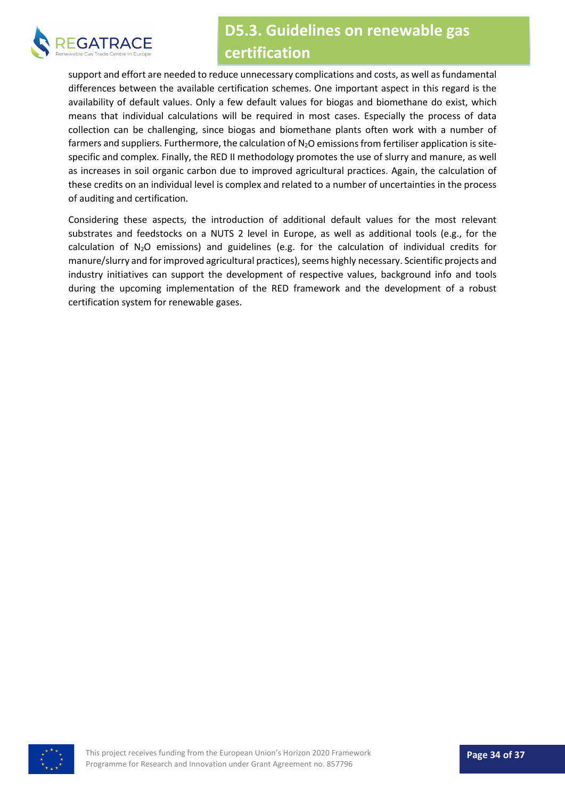

support and effort are needed to reduce unnecessary complications and costs, as well as fundamental differences between the available certification schemes. One important aspect in this regard is the availability of default values. Only a few default values for biogas and biomethane do exist, which means that individual calculations will be required in most cases. Especially the process of data collection can be challenging, since biogas and biomethane plants often work with a number of farmers and suppliers. Furthermore, the calculation of  $N<sub>2</sub>O$  emissions from fertiliser application is sitespecific and complex. Finally, the RED II methodology promotes the use of slurry and manure, as well as increases in soil organic carbon due to improved agricultural practices. Again, the calculation of these credits on an individual level is complex and related to a number of uncertainties in the process of auditing and certification.

Considering these aspects, the introduction of additional default values for the most relevant substrates and feedstocks on a NUTS 2 level in Europe, as well as additional tools (e.g., for the calculation of  $N_2O$  emissions) and guidelines (e.g. for the calculation of individual credits for manure/slurry and for improved agricultural practices), seems highly necessary. Scientific projects and industry initiatives can support the development of respective values, background info and tools during the upcoming implementation of the RED framework and the development of a robust certification system for renewable gases.

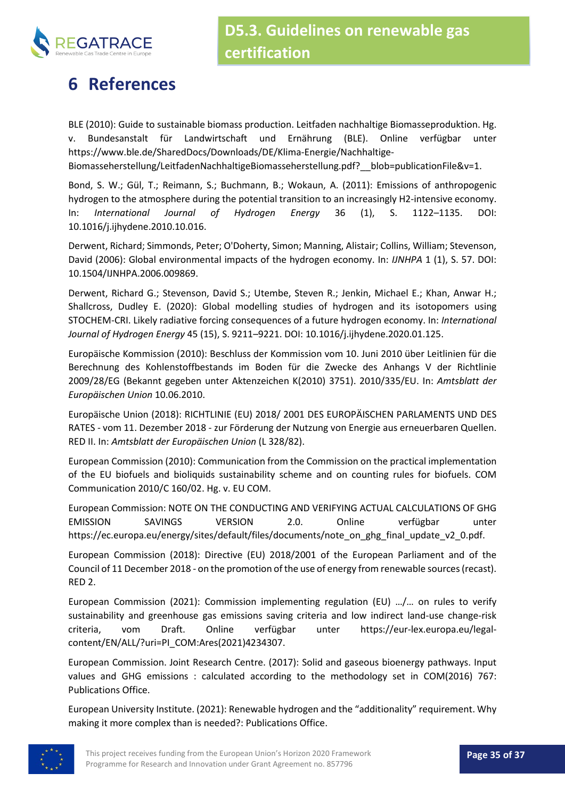

## **6 References**

BLE (2010): Guide to sustainable biomass production. Leitfaden nachhaltige Biomasseproduktion. Hg. v. Bundesanstalt für Landwirtschaft und Ernährung (BLE). Online verfügbar unter https://www.ble.de/SharedDocs/Downloads/DE/Klima-Energie/Nachhaltige-

Biomasseherstellung/LeitfadenNachhaltigeBiomasseherstellung.pdf? blob=publicationFile&v=1.

Bond, S. W.; Gül, T.; Reimann, S.; Buchmann, B.; Wokaun, A. (2011): Emissions of anthropogenic hydrogen to the atmosphere during the potential transition to an increasingly H2-intensive economy. In: *International Journal of Hydrogen Energy* 36 (1), S. 1122–1135. DOI: 10.1016/j.ijhydene.2010.10.016.

Derwent, Richard; Simmonds, Peter; O'Doherty, Simon; Manning, Alistair; Collins, William; Stevenson, David (2006): Global environmental impacts of the hydrogen economy. In: *IJNHPA* 1 (1), S. 57. DOI: 10.1504/IJNHPA.2006.009869.

Derwent, Richard G.; Stevenson, David S.; Utembe, Steven R.; Jenkin, Michael E.; Khan, Anwar H.; Shallcross, Dudley E. (2020): Global modelling studies of hydrogen and its isotopomers using STOCHEM-CRI. Likely radiative forcing consequences of a future hydrogen economy. In: *International Journal of Hydrogen Energy* 45 (15), S. 9211–9221. DOI: 10.1016/j.ijhydene.2020.01.125.

Europäische Kommission (2010): Beschluss der Kommission vom 10. Juni 2010 über Leitlinien für die Berechnung des Kohlenstoffbestands im Boden für die Zwecke des Anhangs V der Richtlinie 2009/28/EG (Bekannt gegeben unter Aktenzeichen K(2010) 3751). 2010/335/EU. In: *Amtsblatt der Europäischen Union* 10.06.2010.

Europäische Union (2018): RICHTLINIE (EU) 2018/ 2001 DES EUROPÄISCHEN PARLAMENTS UND DES RATES - vom 11. Dezember 2018 - zur Förderung der Nutzung von Energie aus erneuerbaren Quellen. RED II. In: *Amtsblatt der Europäischen Union* (L 328/82).

European Commission (2010): Communication from the Commission on the practical implementation of the EU biofuels and bioliquids sustainability scheme and on counting rules for biofuels. COM Communication 2010/C 160/02. Hg. v. EU COM.

European Commission: NOTE ON THE CONDUCTING AND VERIFYING ACTUAL CALCULATIONS OF GHG EMISSION SAVINGS VERSION 2.0. Online verfügbar unter https://ec.europa.eu/energy/sites/default/files/documents/note\_on\_ghg\_final\_update\_v2\_0.pdf.

European Commission (2018): Directive (EU) 2018/2001 of the European Parliament and of the Council of 11 December 2018 - on the promotion of the use of energy from renewable sources (recast). RED 2.

European Commission (2021): Commission implementing regulation (EU) …/… on rules to verify sustainability and greenhouse gas emissions saving criteria and low indirect land-use change-risk criteria, vom Draft. Online verfügbar unter https://eur-lex.europa.eu/legalcontent/EN/ALL/?uri=PI\_COM:Ares(2021)4234307.

European Commission. Joint Research Centre. (2017): Solid and gaseous bioenergy pathways. Input values and GHG emissions : calculated according to the methodology set in COM(2016) 767: Publications Office.

European University Institute. (2021): Renewable hydrogen and the "additionality" requirement. Why making it more complex than is needed?: Publications Office.

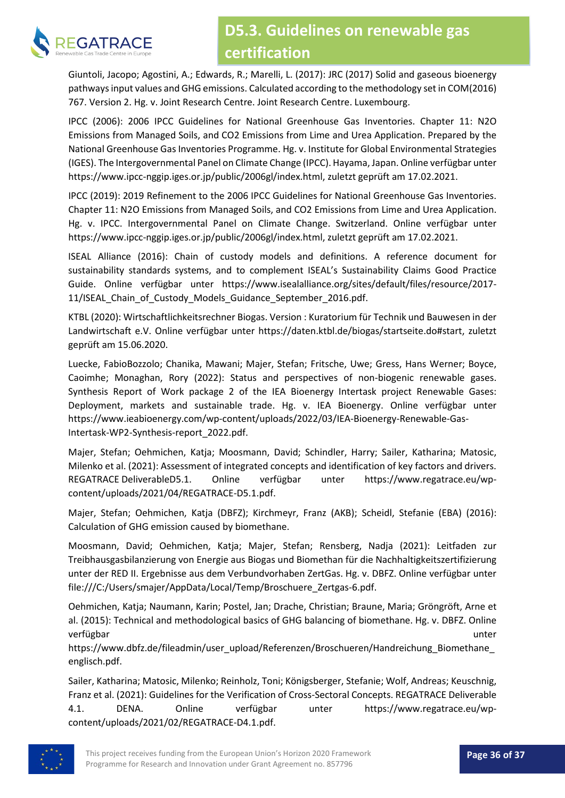

Giuntoli, Jacopo; Agostini, A.; Edwards, R.; Marelli, L. (2017): JRC (2017) Solid and gaseous bioenergy pathways input values and GHG emissions. Calculated according to the methodology set in COM(2016) 767. Version 2. Hg. v. Joint Research Centre. Joint Research Centre. Luxembourg.

IPCC (2006): 2006 IPCC Guidelines for National Greenhouse Gas Inventories. Chapter 11: N2O Emissions from Managed Soils, and CO2 Emissions from Lime and Urea Application. Prepared by the National Greenhouse Gas Inventories Programme. Hg. v. Institute for Global Environmental Strategies (IGES). The Intergovernmental Panel on Climate Change (IPCC). Hayama, Japan. Online verfügbar unter https://www.ipcc-nggip.iges.or.jp/public/2006gl/index.html, zuletzt geprüft am 17.02.2021.

IPCC (2019): 2019 Refinement to the 2006 IPCC Guidelines for National Greenhouse Gas Inventories. Chapter 11: N2O Emissions from Managed Soils, and CO2 Emissions from Lime and Urea Application. Hg. v. IPCC. Intergovernmental Panel on Climate Change. Switzerland. Online verfügbar unter https://www.ipcc-nggip.iges.or.jp/public/2006gl/index.html, zuletzt geprüft am 17.02.2021.

ISEAL Alliance (2016): Chain of custody models and definitions. A reference document for sustainability standards systems, and to complement ISEAL's Sustainability Claims Good Practice Guide. Online verfügbar unter https://www.isealalliance.org/sites/default/files/resource/2017- 11/ISEAL Chain of Custody Models Guidance September 2016.pdf.

KTBL (2020): Wirtschaftlichkeitsrechner Biogas. Version : Kuratorium für Technik und Bauwesen in der Landwirtschaft e.V. Online verfügbar unter https://daten.ktbl.de/biogas/startseite.do#start, zuletzt geprüft am 15.06.2020.

Luecke, FabioBozzolo; Chanika, Mawani; Majer, Stefan; Fritsche, Uwe; Gress, Hans Werner; Boyce, Caoimhe; Monaghan, Rory (2022): Status and perspectives of non-biogenic renewable gases. Synthesis Report of Work package 2 of the IEA Bioenergy Intertask project Renewable Gases: Deployment, markets and sustainable trade. Hg. v. IEA Bioenergy. Online verfügbar unter https://www.ieabioenergy.com/wp-content/uploads/2022/03/IEA-Bioenergy-Renewable-Gas-Intertask-WP2-Synthesis-report\_2022.pdf.

Majer, Stefan; Oehmichen, Katja; Moosmann, David; Schindler, Harry; Sailer, Katharina; Matosic, Milenko et al. (2021): Assessment of integrated concepts and identification of key factors and drivers. REGATRACE DeliverableD5.1. Online verfügbar unter https://www.regatrace.eu/wpcontent/uploads/2021/04/REGATRACE-D5.1.pdf.

Majer, Stefan; Oehmichen, Katja (DBFZ); Kirchmeyr, Franz (AKB); Scheidl, Stefanie (EBA) (2016): Calculation of GHG emission caused by biomethane.

Moosmann, David; Oehmichen, Katja; Majer, Stefan; Rensberg, Nadja (2021): Leitfaden zur Treibhausgasbilanzierung von Energie aus Biogas und Biomethan für die Nachhaltigkeitszertifizierung unter der RED II. Ergebnisse aus dem Verbundvorhaben ZertGas. Hg. v. DBFZ. Online verfügbar unter file:///C:/Users/smajer/AppData/Local/Temp/Broschuere\_Zertgas-6.pdf.

Oehmichen, Katja; Naumann, Karin; Postel, Jan; Drache, Christian; Braune, Maria; Gröngröft, Arne et al. (2015): Technical and methodological basics of GHG balancing of biomethane. Hg. v. DBFZ. Online verfügbar unter

https://www.dbfz.de/fileadmin/user\_upload/Referenzen/Broschueren/Handreichung\_Biomethane\_ englisch.pdf.

Sailer, Katharina; Matosic, Milenko; Reinholz, Toni; Königsberger, Stefanie; Wolf, Andreas; Keuschnig, Franz et al. (2021): Guidelines for the Verification of Cross-Sectoral Concepts. REGATRACE Deliverable 4.1. DENA. Online verfügbar unter https://www.regatrace.eu/wpcontent/uploads/2021/02/REGATRACE-D4.1.pdf.